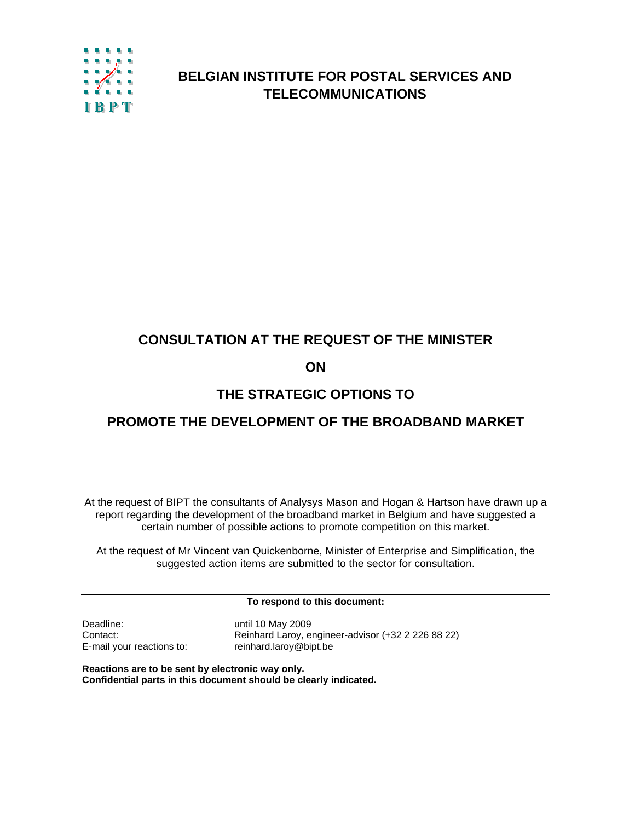

## **BELGIAN INSTITUTE FOR POSTAL SERVICES AND TELECOMMUNICATIONS**

## **CONSULTATION AT THE REQUEST OF THE MINISTER**

## **ON**

## **THE STRATEGIC OPTIONS TO**

## **PROMOTE THE DEVELOPMENT OF THE BROADBAND MARKET**

At the request of BIPT the consultants of Analysys Mason and Hogan & Hartson have drawn up a report regarding the development of the broadband market in Belgium and have suggested a certain number of possible actions to promote competition on this market.

At the request of Mr Vincent van Quickenborne, Minister of Enterprise and Simplification, the suggested action items are submitted to the sector for consultation.

**To respond to this document:** 

Deadline: Unit until 10 May 2009

Contact: Reinhard Laroy, engineer-advisor (+32 2 226 88 22) E-mail your reactions to: reinhard.laroy@bipt.be

**Reactions are to be sent by electronic way only. Confidential parts in this document should be clearly indicated.**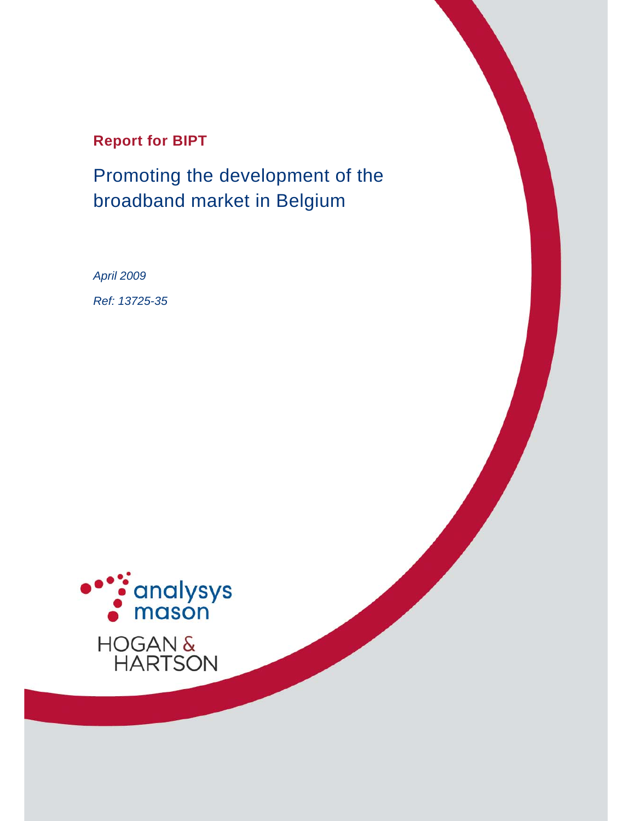## **Report for BIPT**

Promoting the development of the broadband market in Belgium

*April 2009 Ref: 13725-35* 

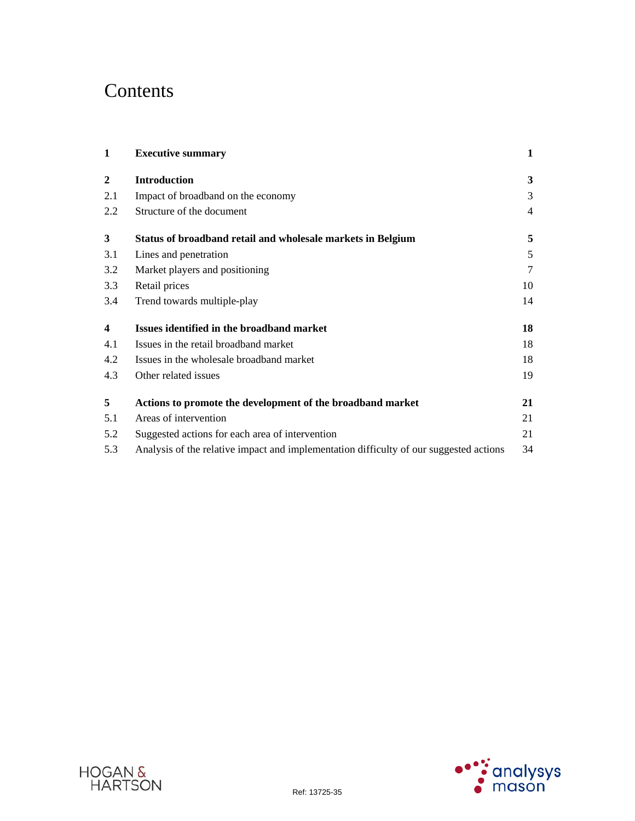# **Contents**

| 1                       | <b>Executive summary</b>                                                               | $\mathbf{1}$   |
|-------------------------|----------------------------------------------------------------------------------------|----------------|
| $\boldsymbol{2}$        | <b>Introduction</b>                                                                    | 3              |
| 2.1                     | Impact of broadband on the economy                                                     | 3              |
| 2.2                     | Structure of the document                                                              | 4              |
| $\overline{\mathbf{3}}$ | Status of broadband retail and wholesale markets in Belgium                            | 5              |
| 3.1                     | Lines and penetration                                                                  | 5              |
| 3.2                     | Market players and positioning                                                         | $\overline{7}$ |
| 3.3                     | Retail prices                                                                          | 10             |
| 3.4                     | Trend towards multiple-play                                                            | 14             |
| 4                       | Issues identified in the broadband market                                              | 18             |
| 4.1                     | Issues in the retail broadband market                                                  | 18             |
| 4.2                     | Issues in the wholesale broadband market                                               | 18             |
| 4.3                     | Other related issues                                                                   | 19             |
| 5                       | Actions to promote the development of the broadband market                             | 21             |
| 5.1                     | Areas of intervention                                                                  | 21             |
| 5.2                     | Suggested actions for each area of intervention                                        | 21             |
| 5.3                     | Analysis of the relative impact and implementation difficulty of our suggested actions | 34             |



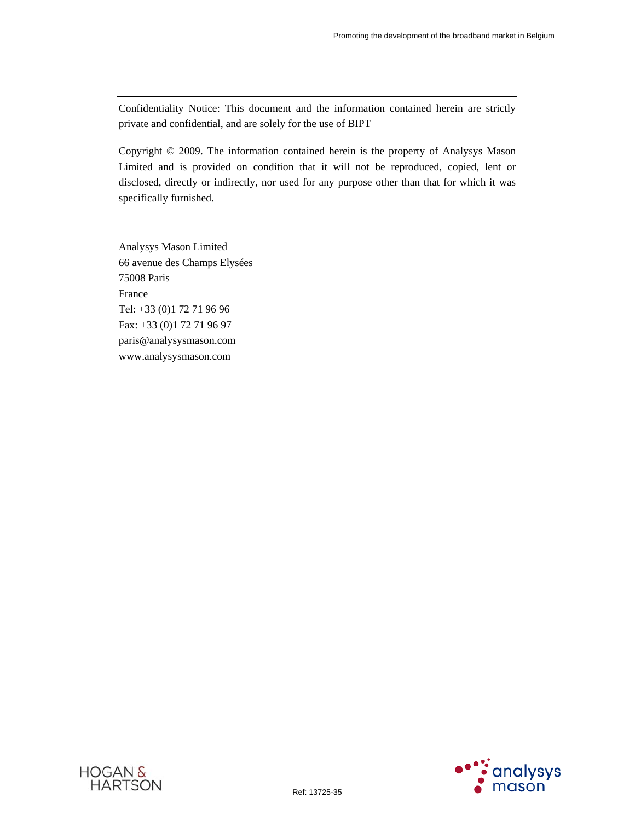Confidentiality Notice: This document and the information contained herein are strictly private and confidential, and are solely for the use of BIPT

Copyright © 2009. The information contained herein is the property of Analysys Mason Limited and is provided on condition that it will not be reproduced, copied, lent or disclosed, directly or indirectly, nor used for any purpose other than that for which it was specifically furnished.

Analysys Mason Limited 66 avenue des Champs Elysées 75008 Paris France Tel: +33 (0)1 72 71 96 96 Fax: +33 (0)1 72 71 96 97 paris@analysysmason.com www.analysysmason.com



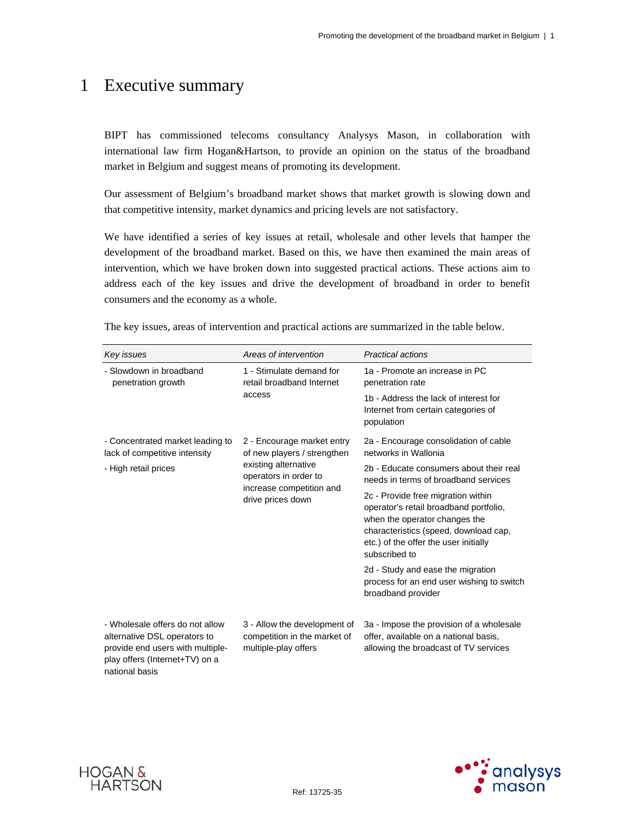## 1 Executive summary

BIPT has commissioned telecoms consultancy Analysys Mason, in collaboration with international law firm Hogan&Hartson, to provide an opinion on the status of the broadband market in Belgium and suggest means of promoting its development.

Our assessment of Belgium's broadband market shows that market growth is slowing down and that competitive intensity, market dynamics and pricing levels are not satisfactory.

We have identified a series of key issues at retail, wholesale and other levels that hamper the development of the broadband market. Based on this, we have then examined the main areas of intervention, which we have broken down into suggested practical actions. These actions aim to address each of the key issues and drive the development of broadband in order to benefit consumers and the economy as a whole.

| Key issues                                                                                                                                              | Areas of intervention                                                                                                                                       | <b>Practical actions</b>                                                                                                                                                                                         |
|---------------------------------------------------------------------------------------------------------------------------------------------------------|-------------------------------------------------------------------------------------------------------------------------------------------------------------|------------------------------------------------------------------------------------------------------------------------------------------------------------------------------------------------------------------|
| - Slowdown in broadband<br>penetration growth                                                                                                           | 1 - Stimulate demand for<br>retail broadband Internet                                                                                                       | 1a - Promote an increase in PC<br>penetration rate                                                                                                                                                               |
|                                                                                                                                                         | access                                                                                                                                                      | 1b - Address the lack of interest for<br>Internet from certain categories of<br>population                                                                                                                       |
| - Concentrated market leading to<br>lack of competitive intensity                                                                                       | 2 - Encourage market entry<br>of new players / strengthen<br>existing alternative<br>operators in order to<br>increase competition and<br>drive prices down | 2a - Encourage consolidation of cable<br>networks in Wallonia                                                                                                                                                    |
| - High retail prices                                                                                                                                    |                                                                                                                                                             | 2b - Educate consumers about their real<br>needs in terms of broadband services                                                                                                                                  |
|                                                                                                                                                         |                                                                                                                                                             | 2c - Provide free migration within<br>operator's retail broadband portfolio,<br>when the operator changes the<br>characteristics (speed, download cap,<br>etc.) of the offer the user initially<br>subscribed to |
|                                                                                                                                                         |                                                                                                                                                             | 2d - Study and ease the migration<br>process for an end user wishing to switch<br>broadband provider                                                                                                             |
| - Wholesale offers do not allow<br>alternative DSL operators to<br>provide end users with multiple-<br>play offers (Internet+TV) on a<br>national basis | 3 - Allow the development of<br>competition in the market of<br>multiple-play offers                                                                        | 3a - Impose the provision of a wholesale<br>offer, available on a national basis,<br>allowing the broadcast of TV services                                                                                       |

The key issues, areas of intervention and practical actions are summarized in the table below.



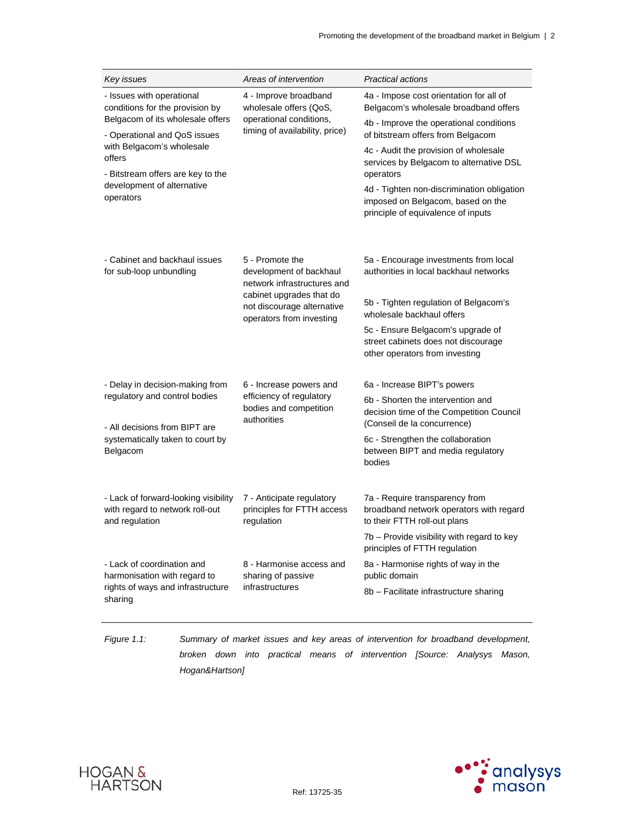| Key issues                                                                                | Areas of intervention                                                              | <b>Practical actions</b>                                                                                              |
|-------------------------------------------------------------------------------------------|------------------------------------------------------------------------------------|-----------------------------------------------------------------------------------------------------------------------|
| - Issues with operational<br>conditions for the provision by                              | 4 - Improve broadband<br>wholesale offers (QoS,                                    | 4a - Impose cost orientation for all of<br>Belgacom's wholesale broadband offers                                      |
| Belgacom of its wholesale offers<br>- Operational and QoS issues                          | operational conditions,<br>timing of availability, price)                          | 4b - Improve the operational conditions<br>of bitstream offers from Belgacom                                          |
| with Belgacom's wholesale<br>offers<br>- Bitstream offers are key to the                  |                                                                                    | 4c - Audit the provision of wholesale<br>services by Belgacom to alternative DSL<br>operators                         |
| development of alternative<br>operators                                                   |                                                                                    | 4d - Tighten non-discrimination obligation<br>imposed on Belgacom, based on the<br>principle of equivalence of inputs |
| - Cabinet and backhaul issues<br>for sub-loop unbundling                                  | 5 - Promote the<br>development of backhaul<br>network infrastructures and          | 5a - Encourage investments from local<br>authorities in local backhaul networks                                       |
|                                                                                           | cabinet upgrades that do<br>not discourage alternative<br>operators from investing | 5b - Tighten regulation of Belgacom's<br>wholesale backhaul offers                                                    |
|                                                                                           |                                                                                    | 5c - Ensure Belgacom's upgrade of<br>street cabinets does not discourage<br>other operators from investing            |
| - Delay in decision-making from                                                           | 6 - Increase powers and                                                            | 6a - Increase BIPT's powers                                                                                           |
| regulatory and control bodies<br>- All decisions from BIPT are                            | efficiency of regulatory<br>bodies and competition<br>authorities                  | 6b - Shorten the intervention and<br>decision time of the Competition Council<br>(Conseil de la concurrence)          |
| systematically taken to court by<br>Belgacom                                              |                                                                                    | 6c - Strengthen the collaboration<br>between BIPT and media regulatory<br>bodies                                      |
| - Lack of forward-looking visibility<br>with regard to network roll-out<br>and regulation | 7 - Anticipate regulatory<br>principles for FTTH access<br>regulation              | 7a - Require transparency from<br>broadband network operators with regard<br>to their FTTH roll-out plans             |
|                                                                                           |                                                                                    | 7b - Provide visibility with regard to key<br>principles of FTTH regulation                                           |
| - Lack of coordination and<br>harmonisation with regard to                                | 8 - Harmonise access and<br>sharing of passive                                     | 8a - Harmonise rights of way in the<br>public domain                                                                  |
| rights of ways and infrastructure<br>sharing                                              | infrastructures                                                                    | 8b - Facilitate infrastructure sharing                                                                                |

*Figure 1.1: Summary of market issues and key areas of intervention for broadband development, broken down into practical means of intervention [Source: Analysys Mason, Hogan&Hartson]* 



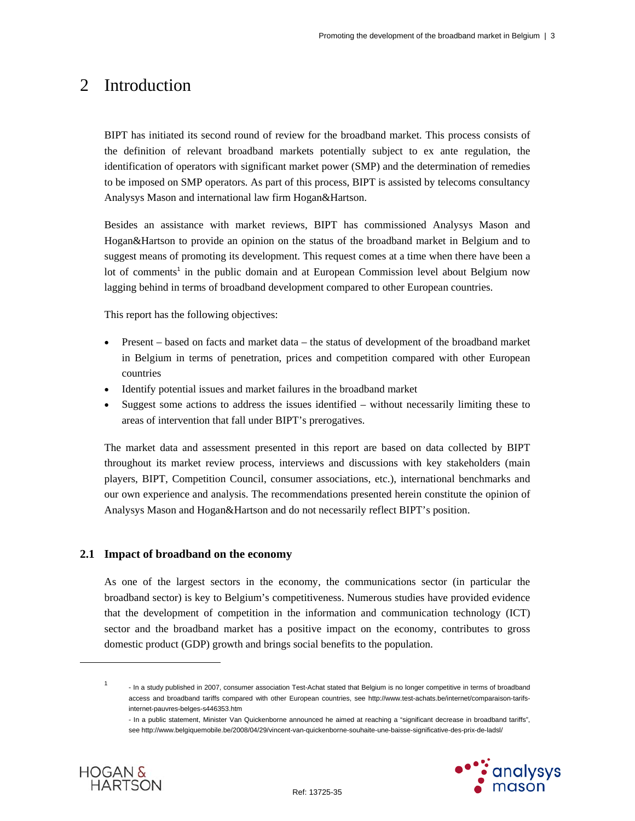## 2 Introduction

BIPT has initiated its second round of review for the broadband market. This process consists of the definition of relevant broadband markets potentially subject to ex ante regulation, the identification of operators with significant market power (SMP) and the determination of remedies to be imposed on SMP operators. As part of this process, BIPT is assisted by telecoms consultancy Analysys Mason and international law firm Hogan&Hartson.

Besides an assistance with market reviews, BIPT has commissioned Analysys Mason and Hogan&Hartson to provide an opinion on the status of the broadband market in Belgium and to suggest means of promoting its development. This request comes at a time when there have been a lot of comments<sup>1</sup> in the public domain and at European Commission level about Belgium now lagging behind in terms of broadband development compared to other European countries.

This report has the following objectives:

- Present based on facts and market data the status of development of the broadband market in Belgium in terms of penetration, prices and competition compared with other European countries
- Identify potential issues and market failures in the broadband market
- Suggest some actions to address the issues identified without necessarily limiting these to areas of intervention that fall under BIPT's prerogatives.

The market data and assessment presented in this report are based on data collected by BIPT throughout its market review process, interviews and discussions with key stakeholders (main players, BIPT, Competition Council, consumer associations, etc.), international benchmarks and our own experience and analysis. The recommendations presented herein constitute the opinion of Analysys Mason and Hogan&Hartson and do not necessarily reflect BIPT's position.

## **2.1 Impact of broadband on the economy**

As one of the largest sectors in the economy, the communications sector (in particular the broadband sector) is key to Belgium's competitiveness. Numerous studies have provided evidence that the development of competition in the information and communication technology (ICT) sector and the broadband market has a positive impact on the economy, contributes to gross domestic product (GDP) growth and brings social benefits to the population.

<sup>-</sup> In a public statement, Minister Van Quickenborne announced he aimed at reaching a "significant decrease in broadband tariffs", see http://www.belgiquemobile.be/2008/04/29/vincent-van-quickenborne-souhaite-une-baisse-significative-des-prix-de-ladsl/





 $\overline{a}$ 

1

 <sup>-</sup> In a study published in 2007, consumer association Test-Achat stated that Belgium is no longer competitive in terms of broadband access and broadband tariffs compared with other European countries, see http://www.test-achats.be/internet/comparaison-tarifsinternet-pauvres-belges-s446353.htm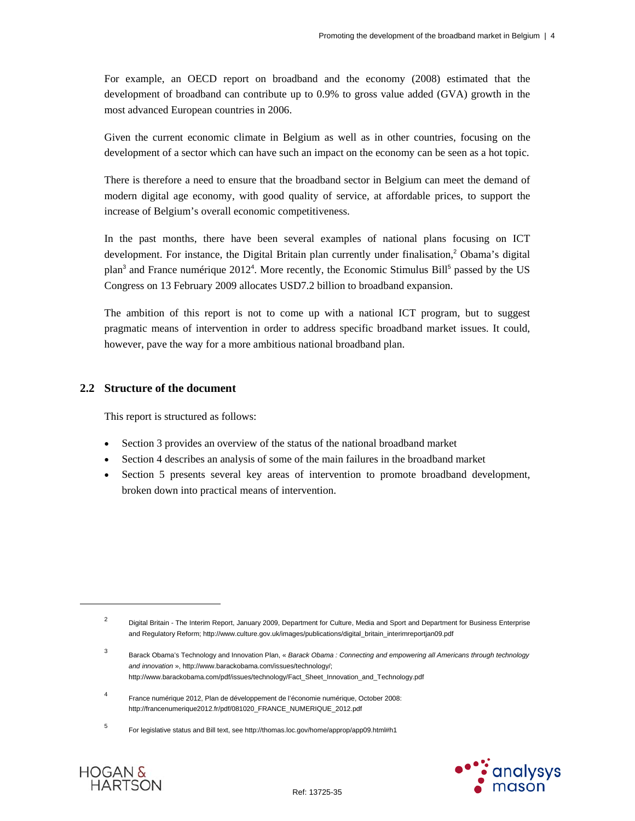For example, an OECD report on broadband and the economy (2008) estimated that the development of broadband can contribute up to 0.9% to gross value added (GVA) growth in the most advanced European countries in 2006.

Given the current economic climate in Belgium as well as in other countries, focusing on the development of a sector which can have such an impact on the economy can be seen as a hot topic.

There is therefore a need to ensure that the broadband sector in Belgium can meet the demand of modern digital age economy, with good quality of service, at affordable prices, to support the increase of Belgium's overall economic competitiveness.

In the past months, there have been several examples of national plans focusing on ICT development. For instance, the Digital Britain plan currently under finalisation,<sup>2</sup> Obama's digital plan<sup>3</sup> and France numérique  $2012^4$ . More recently, the Economic Stimulus Bill<sup>5</sup> passed by the US Congress on 13 February 2009 allocates USD7.2 billion to broadband expansion.

The ambition of this report is not to come up with a national ICT program, but to suggest pragmatic means of intervention in order to address specific broadband market issues. It could, however, pave the way for a more ambitious national broadband plan.

## **2.2 Structure of the document**

This report is structured as follows:

- Section 3 provides an overview of the status of the national broadband market
- Section 4 describes an analysis of some of the main failures in the broadband market
- Section 5 presents several key areas of intervention to promote broadband development, broken down into practical means of intervention.



 $\overline{a}$ 

<sup>2</sup> Digital Britain - The Interim Report, January 2009, Department for Culture, Media and Sport and Department for Business Enterprise and Regulatory Reform; http://www.culture.gov.uk/images/publications/digital\_britain\_interimreportjan09.pdf

<sup>3</sup> Barack Obama's Technology and Innovation Plan, « *Barack Obama : Connecting and empowering all Americans through technology and innovation* », http://www.barackobama.com/issues/technology/; http://www.barackobama.com/pdf/issues/technology/Fact\_Sheet\_Innovation\_and\_Technology.pdf

<sup>4</sup> France numérique 2012, Plan de développement de l'économie numérique, October 2008: http://francenumerique2012.fr/pdf/081020\_FRANCE\_NUMERIQUE\_2012.pdf

<sup>5</sup> For legislative status and Bill text, see http://thomas.loc.gov/home/approp/app09.html#h1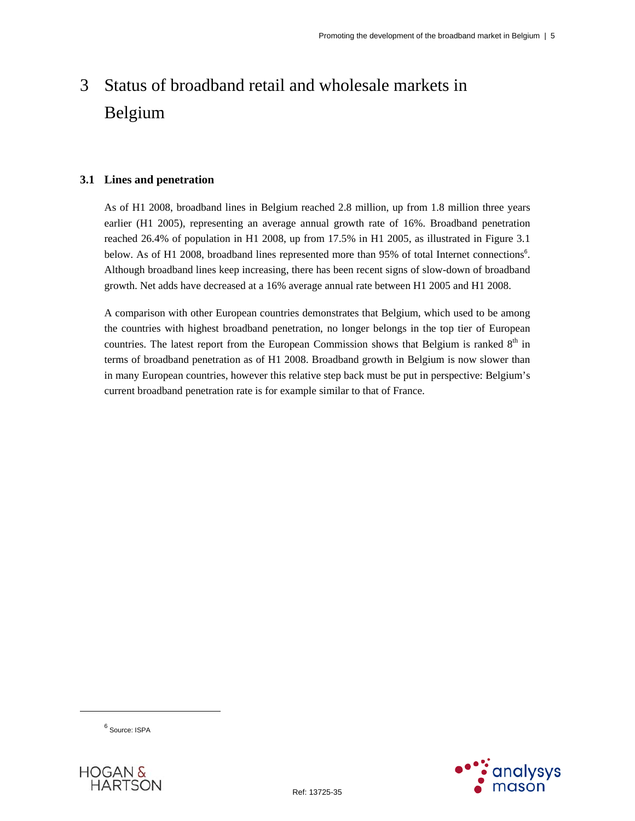# 3 Status of broadband retail and wholesale markets in Belgium

## **3.1 Lines and penetration**

As of H1 2008, broadband lines in Belgium reached 2.8 million, up from 1.8 million three years earlier (H1 2005), representing an average annual growth rate of 16%. Broadband penetration reached 26.4% of population in H1 2008, up from 17.5% in H1 2005, as illustrated in Figure 3.1 below. As of H1 2008, broadband lines represented more than 95% of total Internet connections<sup>6</sup>. Although broadband lines keep increasing, there has been recent signs of slow-down of broadband growth. Net adds have decreased at a 16% average annual rate between H1 2005 and H1 2008.

A comparison with other European countries demonstrates that Belgium, which used to be among the countries with highest broadband penetration, no longer belongs in the top tier of European countries. The latest report from the European Commission shows that Belgium is ranked 8<sup>th</sup> in terms of broadband penetration as of H1 2008. Broadband growth in Belgium is now slower than in many European countries, however this relative step back must be put in perspective: Belgium's current broadband penetration rate is for example similar to that of France.

<sup>6</sup> Source: ISPA

 $\overline{a}$ 



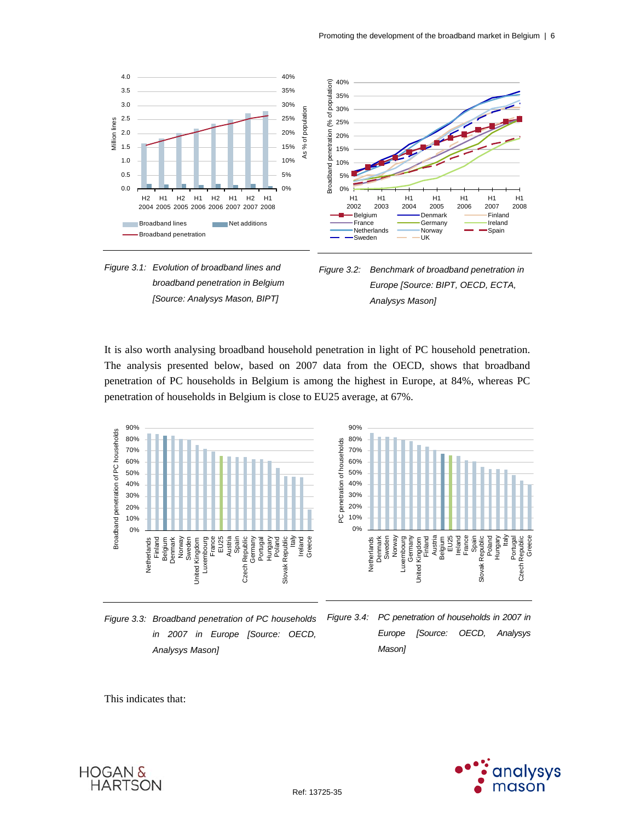





It is also worth analysing broadband household penetration in light of PC household penetration. The analysis presented below, based on 2007 data from the OECD, shows that broadband penetration of PC households in Belgium is among the highest in Europe, at 84%, whereas PC penetration of households in Belgium is close to EU25 average, at 67%.



*Figure 3.3: Broadband penetration of PC households in 2007 in Europe [Source: OECD, Analysys Mason] Mason]* 

*Figure 3.4: PC penetration of households in 2007 in Europe [Source: OECD, Analysys* 

This indicates that:



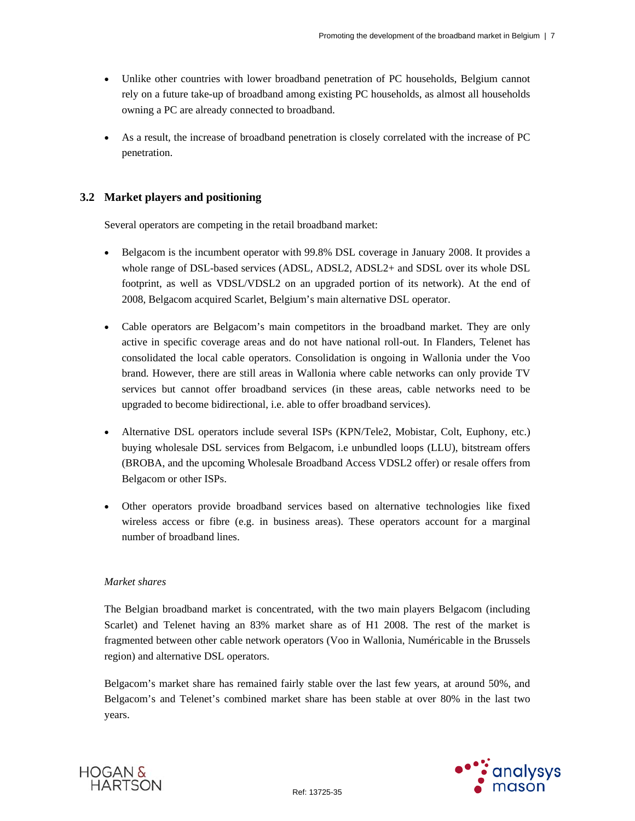- Unlike other countries with lower broadband penetration of PC households, Belgium cannot rely on a future take-up of broadband among existing PC households, as almost all households owning a PC are already connected to broadband.
- As a result, the increase of broadband penetration is closely correlated with the increase of PC penetration.

## **3.2 Market players and positioning**

Several operators are competing in the retail broadband market:

- Belgacom is the incumbent operator with 99.8% DSL coverage in January 2008. It provides a whole range of DSL-based services (ADSL, ADSL2, ADSL2+ and SDSL over its whole DSL footprint, as well as VDSL/VDSL2 on an upgraded portion of its network). At the end of 2008, Belgacom acquired Scarlet, Belgium's main alternative DSL operator.
- Cable operators are Belgacom's main competitors in the broadband market. They are only active in specific coverage areas and do not have national roll-out. In Flanders, Telenet has consolidated the local cable operators. Consolidation is ongoing in Wallonia under the Voo brand. However, there are still areas in Wallonia where cable networks can only provide TV services but cannot offer broadband services (in these areas, cable networks need to be upgraded to become bidirectional, i.e. able to offer broadband services).
- Alternative DSL operators include several ISPs (KPN/Tele2, Mobistar, Colt, Euphony, etc.) buying wholesale DSL services from Belgacom, i.e unbundled loops (LLU), bitstream offers (BROBA, and the upcoming Wholesale Broadband Access VDSL2 offer) or resale offers from Belgacom or other ISPs.
- Other operators provide broadband services based on alternative technologies like fixed wireless access or fibre (e.g. in business areas). These operators account for a marginal number of broadband lines.

## *Market shares*

The Belgian broadband market is concentrated, with the two main players Belgacom (including Scarlet) and Telenet having an 83% market share as of H1 2008. The rest of the market is fragmented between other cable network operators (Voo in Wallonia, Numéricable in the Brussels region) and alternative DSL operators.

Belgacom's market share has remained fairly stable over the last few years, at around 50%, and Belgacom's and Telenet's combined market share has been stable at over 80% in the last two years.



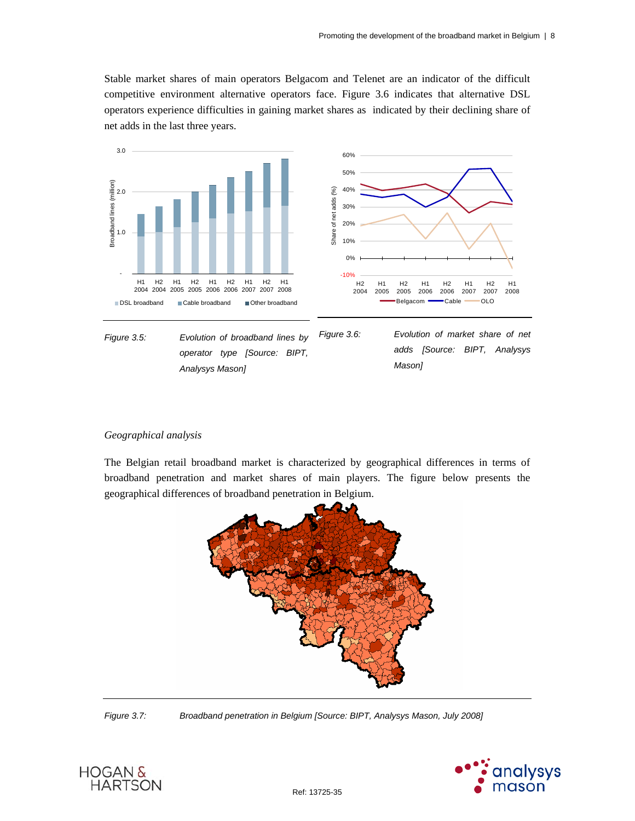Stable market shares of main operators Belgacom and Telenet are an indicator of the difficult competitive environment alternative operators face. Figure 3.6 indicates that alternative DSL operators experience difficulties in gaining market shares as indicated by their declining share of net adds in the last three years.



#### *Geographical analysis*

The Belgian retail broadband market is characterized by geographical differences in terms of broadband penetration and market shares of main players. The figure below presents the geographical differences of broadband penetration in Belgium.



*Figure 3.7: Broadband penetration in Belgium [Source: BIPT, Analysys Mason, July 2008]* 



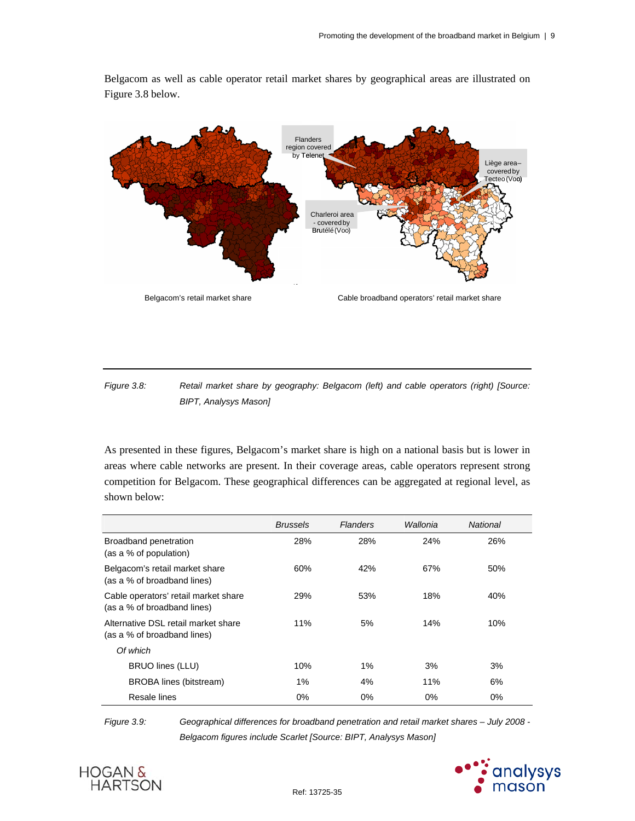Belgacom as well as cable operator retail market shares by geographical areas are illustrated on Figure 3.8 below.



*Figure 3.8: Retail market share by geography: Belgacom (left) and cable operators (right) [Source: BIPT, Analysys Mason]* 

As presented in these figures, Belgacom's market share is high on a national basis but is lower in areas where cable networks are present. In their coverage areas, cable operators represent strong competition for Belgacom. These geographical differences can be aggregated at regional level, as shown below:

|                                                                     | <b>Brussels</b> | <b>Flanders</b> | Wallonia | National |
|---------------------------------------------------------------------|-----------------|-----------------|----------|----------|
| Broadband penetration<br>(as a % of population)                     | 28%             | 28%             | 24%      | 26%      |
| Belgacom's retail market share<br>(as a % of broadband lines)       | 60%             | 42%             | 67%      | 50%      |
| Cable operators' retail market share<br>(as a % of broadband lines) | 29%             | 53%             | 18%      | 40%      |
| Alternative DSL retail market share<br>(as a % of broadband lines)  | 11%             | 5%              | 14%      | 10%      |
| Of which                                                            |                 |                 |          |          |
| BRUO lines (LLU)                                                    | 10%             | $1\%$           | 3%       | 3%       |
| <b>BROBA</b> lines (bitstream)                                      | 1%              | 4%              | 11%      | 6%       |
| Resale lines                                                        | $0\%$           | $0\%$           | $0\%$    | $0\%$    |

*Figure 3.9: Geographical differences for broadband penetration and retail market shares – July 2008 - Belgacom figures include Scarlet [Source: BIPT, Analysys Mason]* 



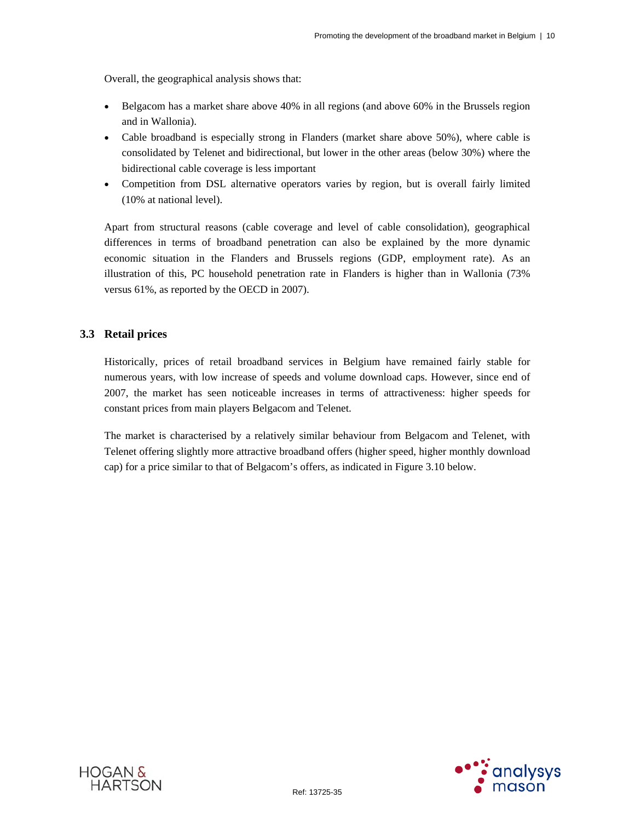Overall, the geographical analysis shows that:

- Belgacom has a market share above 40% in all regions (and above 60% in the Brussels region and in Wallonia).
- Cable broadband is especially strong in Flanders (market share above 50%), where cable is consolidated by Telenet and bidirectional, but lower in the other areas (below 30%) where the bidirectional cable coverage is less important
- Competition from DSL alternative operators varies by region, but is overall fairly limited (10% at national level).

Apart from structural reasons (cable coverage and level of cable consolidation), geographical differences in terms of broadband penetration can also be explained by the more dynamic economic situation in the Flanders and Brussels regions (GDP, employment rate). As an illustration of this, PC household penetration rate in Flanders is higher than in Wallonia (73% versus 61%, as reported by the OECD in 2007).

## **3.3 Retail prices**

Historically, prices of retail broadband services in Belgium have remained fairly stable for numerous years, with low increase of speeds and volume download caps. However, since end of 2007, the market has seen noticeable increases in terms of attractiveness: higher speeds for constant prices from main players Belgacom and Telenet.

The market is characterised by a relatively similar behaviour from Belgacom and Telenet, with Telenet offering slightly more attractive broadband offers (higher speed, higher monthly download cap) for a price similar to that of Belgacom's offers, as indicated in Figure 3.10 below.



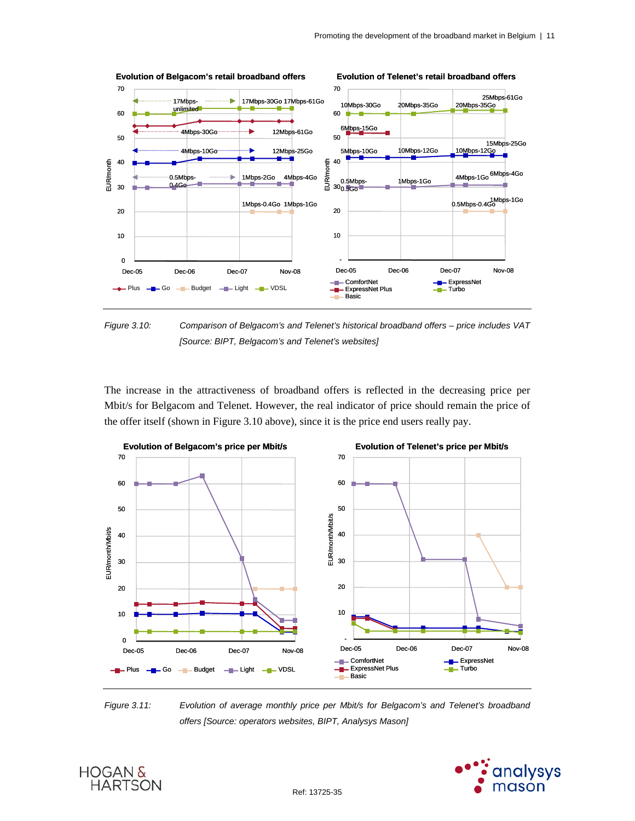

*Figure 3.10: Comparison of Belgacom's and Telenet's historical broadband offers – price includes VAT [Source: BIPT, Belgacom's and Telenet's websites]* 

The increase in the attractiveness of broadband offers is reflected in the decreasing price per Mbit/s for Belgacom and Telenet. However, the real indicator of price should remain the price of the offer itself (shown in Figure 3.10 above), since it is the price end users really pay.



*Figure 3.11: Evolution of average monthly price per Mbit/s for Belgacom's and Telenet's broadband offers [Source: operators websites, BIPT, Analysys Mason]* 

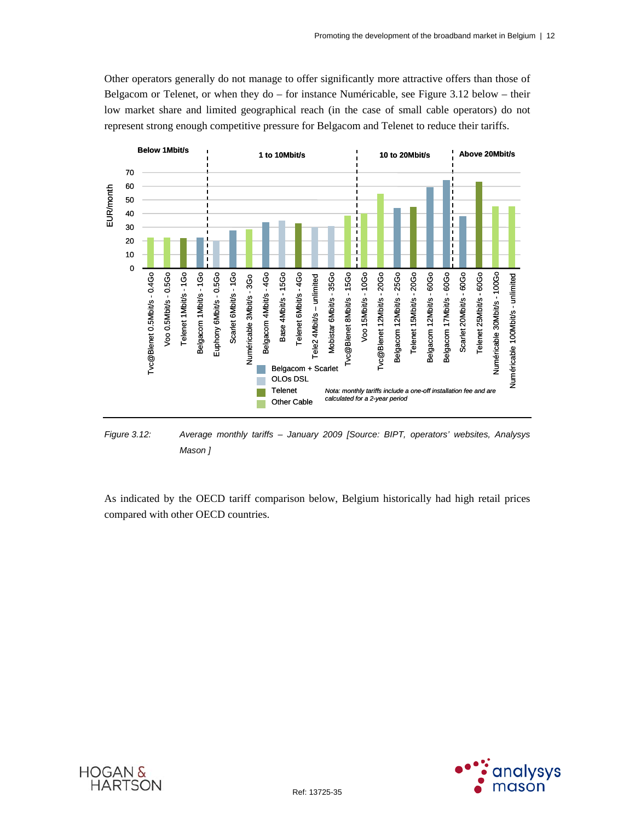Other operators generally do not manage to offer significantly more attractive offers than those of Belgacom or Telenet, or when they  $do$  – for instance Numéricable, see Figure 3.12 below – their low market share and limited geographical reach (in the case of small cable operators) do not represent strong enough competitive pressure for Belgacom and Telenet to reduce their tariffs.



*Figure 3.12: Average monthly tariffs – January 2009 [Source: BIPT, operators' websites, Analysys Mason ]* 

As indicated by the OECD tariff comparison below, Belgium historically had high retail prices compared with other OECD countries.



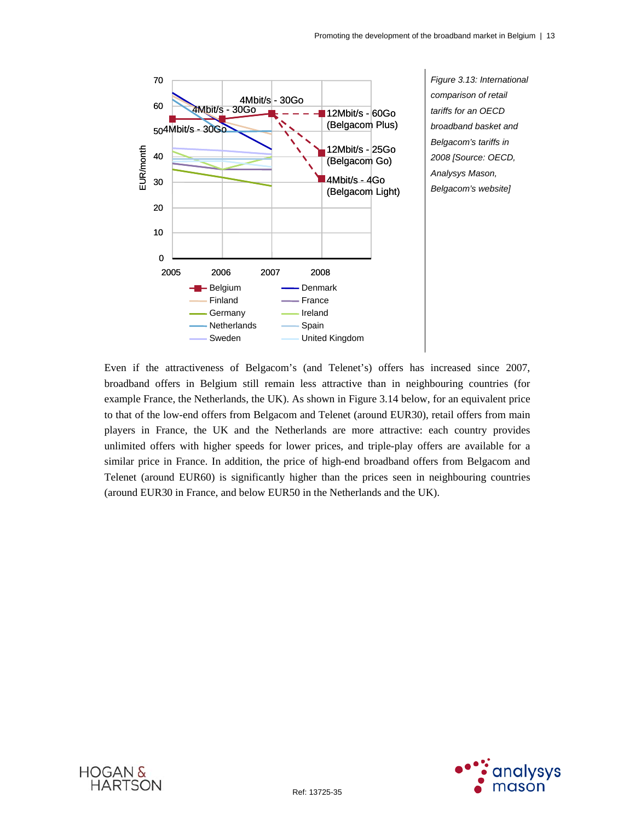

Even if the attractiveness of Belgacom's (and Telenet's) offers has increased since 2007, broadband offers in Belgium still remain less attractive than in neighbouring countries (for example France, the Netherlands, the UK). As shown in Figure 3.14 below, for an equivalent price to that of the low-end offers from Belgacom and Telenet (around EUR30), retail offers from main players in France, the UK and the Netherlands are more attractive: each country provides unlimited offers with higher speeds for lower prices, and triple-play offers are available for a similar price in France. In addition, the price of high-end broadband offers from Belgacom and Telenet (around EUR60) is significantly higher than the prices seen in neighbouring countries (around EUR30 in France, and below EUR50 in the Netherlands and the UK).



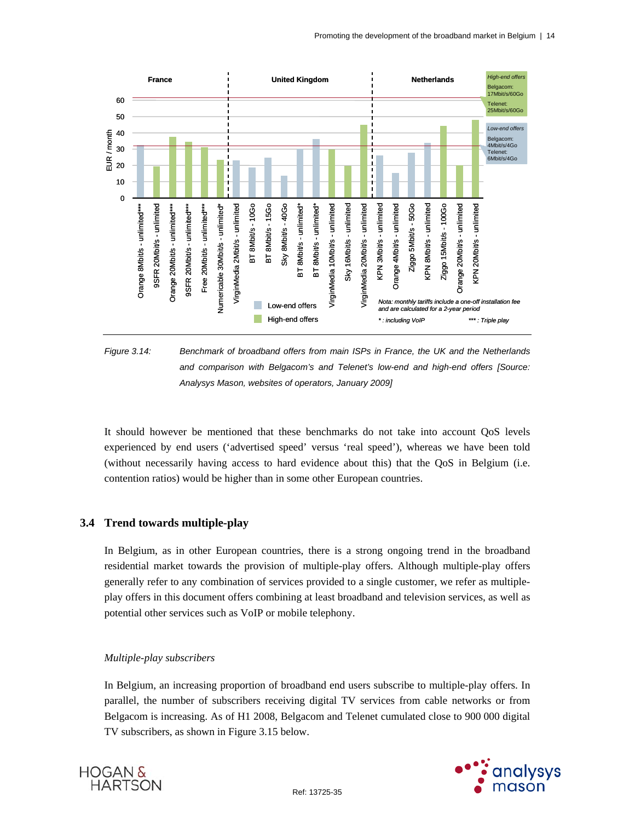

*Figure 3.14: Benchmark of broadband offers from main ISPs in France, the UK and the Netherlands and comparison with Belgacom's and Telenet's low-end and high-end offers [Source: Analysys Mason, websites of operators, January 2009]* 

It should however be mentioned that these benchmarks do not take into account QoS levels experienced by end users ('advertised speed' versus 'real speed'), whereas we have been told (without necessarily having access to hard evidence about this) that the QoS in Belgium (i.e. contention ratios) would be higher than in some other European countries.

## **3.4 Trend towards multiple-play**

In Belgium, as in other European countries, there is a strong ongoing trend in the broadband residential market towards the provision of multiple-play offers. Although multiple-play offers generally refer to any combination of services provided to a single customer, we refer as multipleplay offers in this document offers combining at least broadband and television services, as well as potential other services such as VoIP or mobile telephony.

## *Multiple-play subscribers*

In Belgium, an increasing proportion of broadband end users subscribe to multiple-play offers. In parallel, the number of subscribers receiving digital TV services from cable networks or from Belgacom is increasing. As of H1 2008, Belgacom and Telenet cumulated close to 900 000 digital TV subscribers, as shown in Figure 3.15 below.



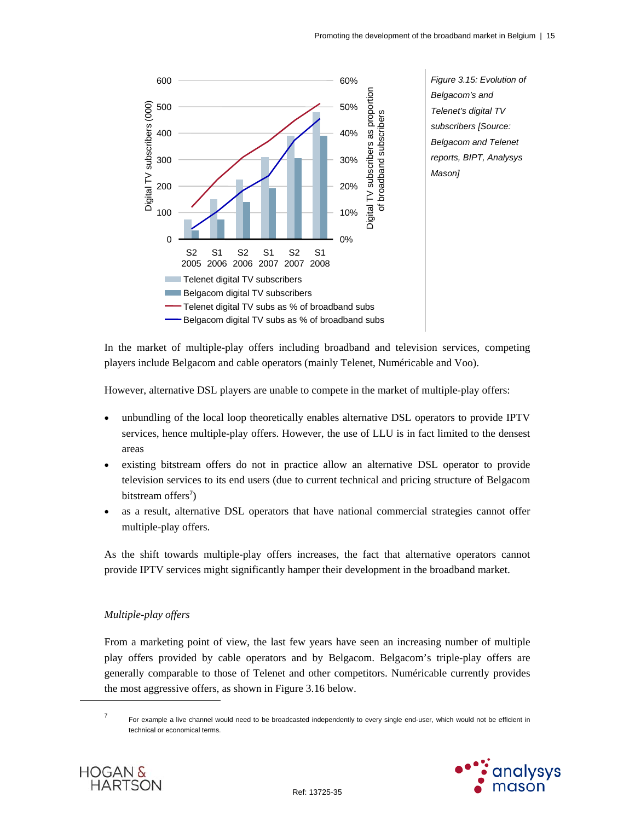

In the market of multiple-play offers including broadband and television services, competing players include Belgacom and cable operators (mainly Telenet, Numéricable and Voo).

However, alternative DSL players are unable to compete in the market of multiple-play offers:

- unbundling of the local loop theoretically enables alternative DSL operators to provide IPTV services, hence multiple-play offers. However, the use of LLU is in fact limited to the densest areas
- existing bitstream offers do not in practice allow an alternative DSL operator to provide television services to its end users (due to current technical and pricing structure of Belgacom bitstream offers<sup>7</sup>)
- as a result, alternative DSL operators that have national commercial strategies cannot offer multiple-play offers.

As the shift towards multiple-play offers increases, the fact that alternative operators cannot provide IPTV services might significantly hamper their development in the broadband market.

## *Multiple-play offers*

From a marketing point of view, the last few years have seen an increasing number of multiple play offers provided by cable operators and by Belgacom. Belgacom's triple-play offers are generally comparable to those of Telenet and other competitors. Numéricable currently provides the most aggressive offers, as shown in Figure 3.16 below.

<sup>7</sup> For example a live channel would need to be broadcasted independently to every single end-user, which would not be efficient in technical or economical terms.



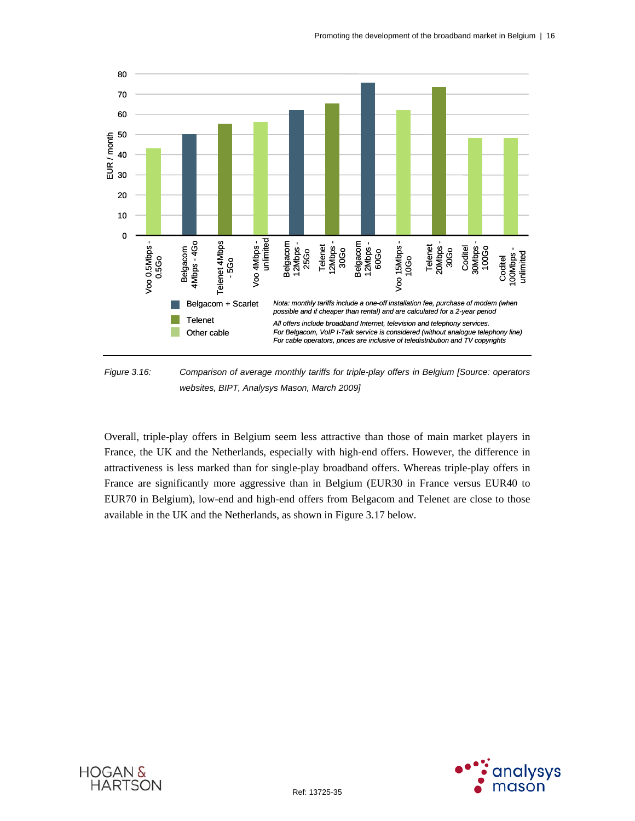

*Figure 3.16: Comparison of average monthly tariffs for triple-play offers in Belgium [Source: operators websites, BIPT, Analysys Mason, March 2009]* 

Overall, triple-play offers in Belgium seem less attractive than those of main market players in France, the UK and the Netherlands, especially with high-end offers. However, the difference in attractiveness is less marked than for single-play broadband offers. Whereas triple-play offers in France are significantly more aggressive than in Belgium (EUR30 in France versus EUR40 to EUR70 in Belgium), low-end and high-end offers from Belgacom and Telenet are close to those available in the UK and the Netherlands, as shown in Figure 3.17 below.



**HOGAN &** 

**HARTSON** 

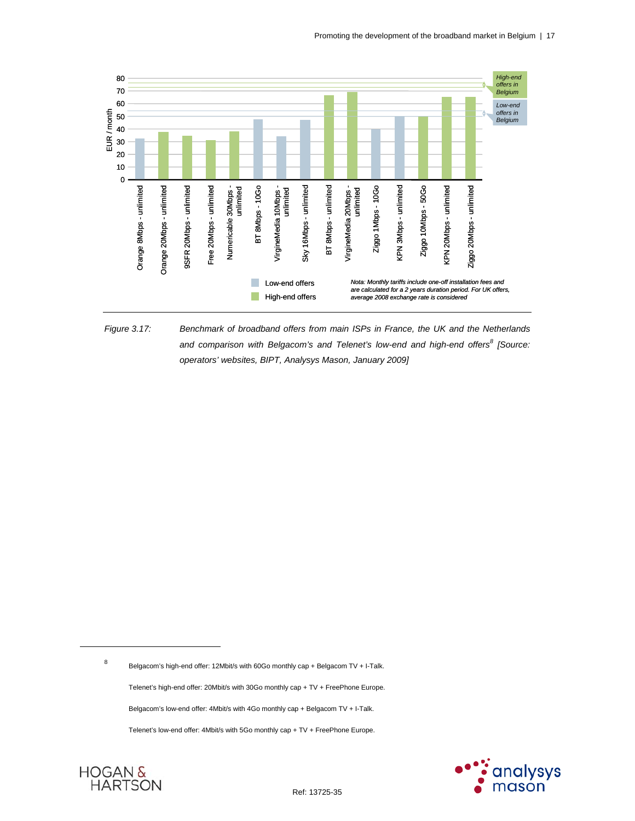

*Figure 3.17: Benchmark of broadband offers from main ISPs in France, the UK and the Netherlands and comparison with Belgacom's and Telenet's low-end and high-end offers<sup>8</sup> [Source: operators' websites, BIPT, Analysys Mason, January 2009]* 

Belgacom's high-end offer: 12Mbit/s with 60Go monthly cap + Belgacom TV + I-Talk.

Telenet's high-end offer: 20Mbit/s with 30Go monthly cap + TV + FreePhone Europe.

Belgacom's low-end offer: 4Mbit/s with 4Go monthly cap + Belgacom TV + I-Talk.

Telenet's low-end offer: 4Mbit/s with 5Go monthly cap + TV + FreePhone Europe.





l

8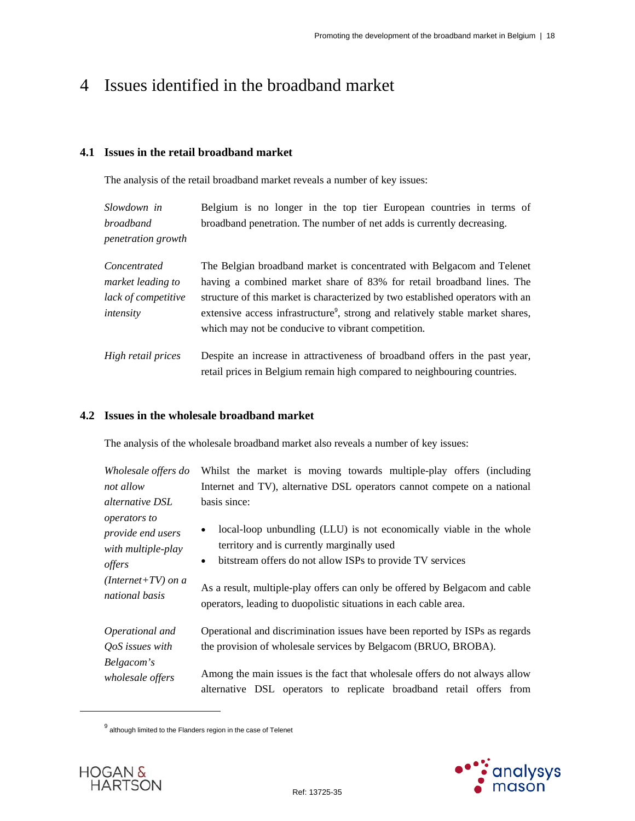## 4 Issues identified in the broadband market

## **4.1 Issues in the retail broadband market**

The analysis of the retail broadband market reveals a number of key issues:

| Slowdown in               | Belgium is no longer in the top tier European countries in terms of    |
|---------------------------|------------------------------------------------------------------------|
| <i>broadband</i>          | broadband penetration. The number of net adds is currently decreasing. |
| <i>penetration growth</i> |                                                                        |

| Concentrated        | The Belgian broadband market is concentrated with Belgacom and Telenet                     |
|---------------------|--------------------------------------------------------------------------------------------|
| market leading to   | having a combined market share of 83% for retail broadband lines. The                      |
| lack of competitive | structure of this market is characterized by two established operators with an             |
| intensity           | extensive access infrastructure <sup>9</sup> , strong and relatively stable market shares, |
|                     | which may not be conducive to vibrant competition.                                         |
|                     |                                                                                            |

*High retail prices* Despite an increase in attractiveness of broadband offers in the past year, retail prices in Belgium remain high compared to neighbouring countries.

## **4.2 Issues in the wholesale broadband market**

The analysis of the wholesale broadband market also reveals a number of key issues:

| Wholesale offers do                                                                   | Whilst the market is moving towards multiple-play offers (including         |  |  |  |
|---------------------------------------------------------------------------------------|-----------------------------------------------------------------------------|--|--|--|
| Internet and TV), alternative DSL operators cannot compete on a national<br>not allow |                                                                             |  |  |  |
| basis since:<br><i>alternative DSL</i>                                                |                                                                             |  |  |  |
| operators to                                                                          | local-loop unbundling (LLU) is not economically viable in the whole         |  |  |  |
| provide end users                                                                     | territory and is currently marginally used                                  |  |  |  |
| with multiple-play                                                                    | bitstream offers do not allow ISPs to provide TV services                   |  |  |  |
| offers                                                                                | ٠                                                                           |  |  |  |
| $(Internet+TV)$ on a                                                                  | As a result, multiple-play offers can only be offered by Belgacom and cable |  |  |  |
| national basis                                                                        | operators, leading to duopolistic situations in each cable area.            |  |  |  |
| Operational and                                                                       | Operational and discrimination issues have been reported by ISPs as regards |  |  |  |
| QoS issues with                                                                       | the provision of wholesale services by Belgacom (BRUO, BROBA).              |  |  |  |
| Belgacom's                                                                            | Among the main issues is the fact that wholesale offers do not always allow |  |  |  |
| wholesale offers                                                                      | alternative DSL operators to replicate broadband retail offers from         |  |  |  |

 $^9$  although limited to the Flanders region in the case of Telenet



 $\overline{a}$ 

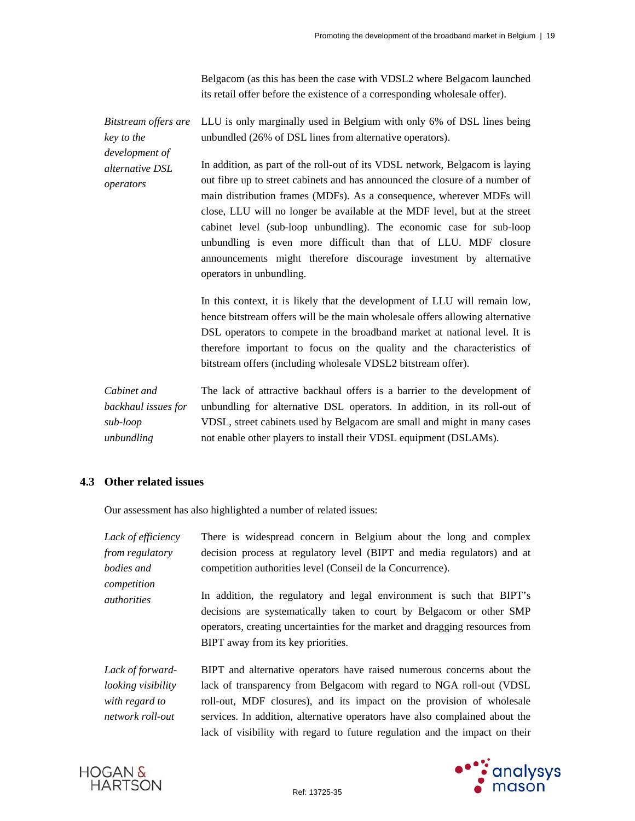Belgacom (as this has been the case with VDSL2 where Belgacom launched its retail offer before the existence of a corresponding wholesale offer).

*Bitstream offers are key to the development of alternative DSL operators*  LLU is only marginally used in Belgium with only 6% of DSL lines being unbundled (26% of DSL lines from alternative operators). In addition, as part of the roll-out of its VDSL network, Belgacom is laying out fibre up to street cabinets and has announced the closure of a number of main distribution frames (MDFs). As a consequence, wherever MDFs will

close, LLU will no longer be available at the MDF level, but at the street cabinet level (sub-loop unbundling). The economic case for sub-loop unbundling is even more difficult than that of LLU. MDF closure announcements might therefore discourage investment by alternative operators in unbundling.

In this context, it is likely that the development of LLU will remain low, hence bitstream offers will be the main wholesale offers allowing alternative DSL operators to compete in the broadband market at national level. It is therefore important to focus on the quality and the characteristics of bitstream offers (including wholesale VDSL2 bitstream offer).

*Cabinet and backhaul issues for sub-loop unbundling*  The lack of attractive backhaul offers is a barrier to the development of unbundling for alternative DSL operators. In addition, in its roll-out of VDSL, street cabinets used by Belgacom are small and might in many cases not enable other players to install their VDSL equipment (DSLAMs).

## **4.3 Other related issues**

Our assessment has also highlighted a number of related issues:

| Lack of efficiency         | There is widespread concern in Belgium about the long and complex                                                                                                                                                                                                   |  |  |  |
|----------------------------|---------------------------------------------------------------------------------------------------------------------------------------------------------------------------------------------------------------------------------------------------------------------|--|--|--|
| from regulatory            | decision process at regulatory level (BIPT and media regulators) and at                                                                                                                                                                                             |  |  |  |
| bodies and                 | competition authorities level (Conseil de la Concurrence).                                                                                                                                                                                                          |  |  |  |
| competition<br>authorities | In addition, the regulatory and legal environment is such that BIPT's<br>decisions are systematically taken to court by Belgacom or other SMP<br>operators, creating uncertainties for the market and dragging resources from<br>BIPT away from its key priorities. |  |  |  |
| Lack of forward-           | BIPT and alternative operators have raised numerous concerns about the                                                                                                                                                                                              |  |  |  |
| looking visibility         | lack of transparency from Belgacom with regard to NGA roll-out (VDSL)                                                                                                                                                                                               |  |  |  |
| with regard to             | roll-out, MDF closures), and its impact on the provision of wholesale                                                                                                                                                                                               |  |  |  |
| network roll-out           | services. In addition, alternative operators have also complained about the                                                                                                                                                                                         |  |  |  |





lack of visibility with regard to future regulation and the impact on their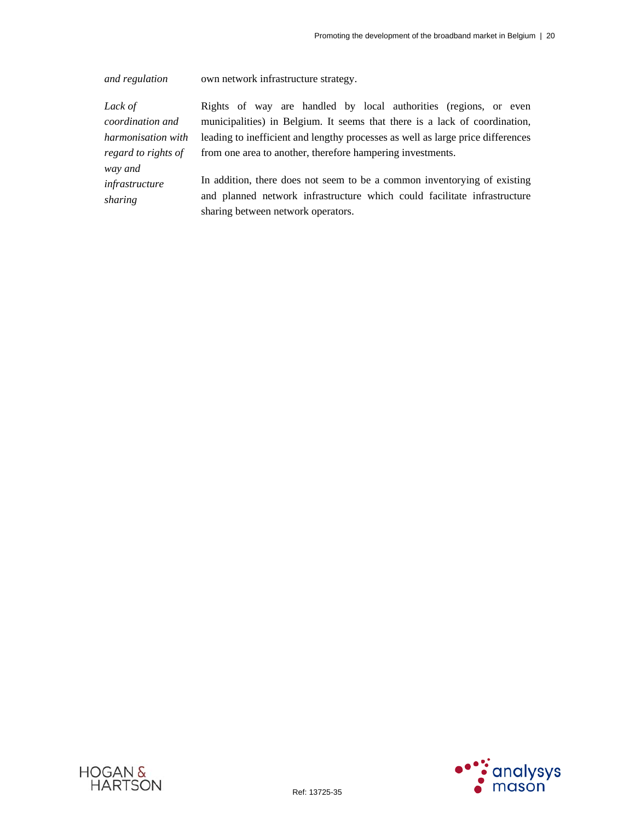*and regulation* own network infrastructure strategy.

*Lack of coordination and harmonisation with regard to rights of way and infrastructure sharing* 

Rights of way are handled by local authorities (regions, or even municipalities) in Belgium. It seems that there is a lack of coordination, leading to inefficient and lengthy processes as well as large price differences from one area to another, therefore hampering investments.

In addition, there does not seem to be a common inventorying of existing and planned network infrastructure which could facilitate infrastructure sharing between network operators.



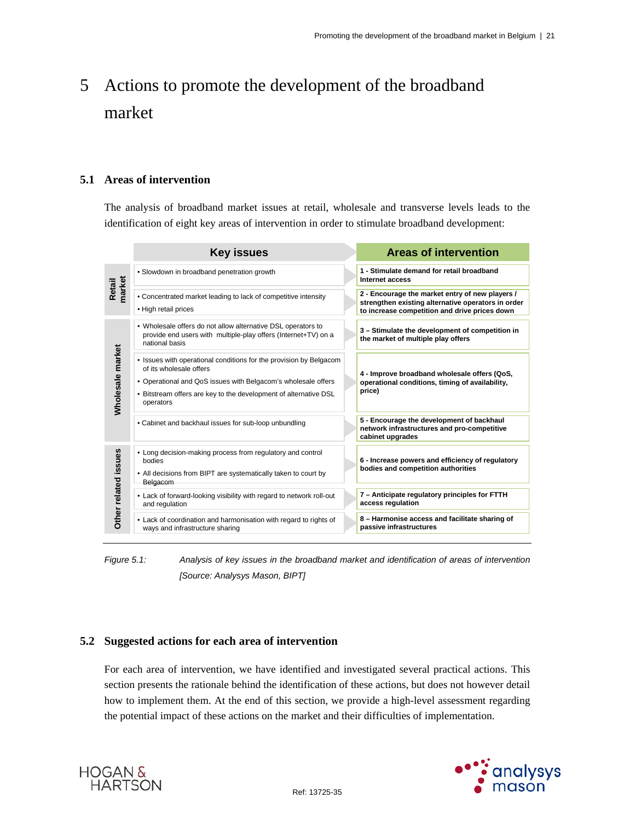# 5 Actions to promote the development of the broadband market

## **5.1 Areas of intervention**

The analysis of broadband market issues at retail, wholesale and transverse levels leads to the identification of eight key areas of intervention in order to stimulate broadband development:

|                      | <b>Key issues</b>                                                                                                                                                                                                                               | <b>Areas of intervention</b>                                                                                                                           |
|----------------------|-------------------------------------------------------------------------------------------------------------------------------------------------------------------------------------------------------------------------------------------------|--------------------------------------------------------------------------------------------------------------------------------------------------------|
| Retail<br>market     | • Slowdown in broadband penetration growth                                                                                                                                                                                                      | 1 - Stimulate demand for retail broadband<br>Internet access                                                                                           |
|                      | • Concentrated market leading to lack of competitive intensity<br>• High retail prices                                                                                                                                                          | 2 - Encourage the market entry of new players /<br>strengthen existing alternative operators in order<br>to increase competition and drive prices down |
|                      | • Wholesale offers do not allow alternative DSL operators to<br>provide end users with multiple-play offers (Internet+TV) on a<br>national basis                                                                                                | 3 - Stimulate the development of competition in<br>the market of multiple play offers                                                                  |
| Wholesale market     | • Issues with operational conditions for the provision by Belgacom<br>of its wholesale offers<br>• Operational and QoS issues with Belgacom's wholesale offers<br>• Bitstream offers are key to the development of alternative DSL<br>operators | 4 - Improve broadband wholesale offers (QoS,<br>operational conditions, timing of availability,<br>price)                                              |
|                      | • Cabinet and backhaul issues for sub-loop unbundling                                                                                                                                                                                           | 5 - Encourage the development of backhaul<br>network infrastructures and pro-competitive<br>cabinet upgrades                                           |
| Other related issues | • Long decision-making process from regulatory and control<br>bodies<br>• All decisions from BIPT are systematically taken to court by<br>Belgacom                                                                                              | 6 - Increase powers and efficiency of regulatory<br>bodies and competition authorities                                                                 |
|                      | • Lack of forward-looking visibility with regard to network roll-out<br>and regulation                                                                                                                                                          | 7 - Anticipate regulatory principles for FTTH<br>access regulation                                                                                     |
|                      | • Lack of coordination and harmonisation with regard to rights of<br>ways and infrastructure sharing                                                                                                                                            | 8 - Harmonise access and facilitate sharing of<br>passive infrastructures                                                                              |

*Figure 5.1: Analysis of key issues in the broadband market and identification of areas of intervention [Source: Analysys Mason, BIPT]* 

## **5.2 Suggested actions for each area of intervention**

For each area of intervention, we have identified and investigated several practical actions. This section presents the rationale behind the identification of these actions, but does not however detail how to implement them. At the end of this section, we provide a high-level assessment regarding the potential impact of these actions on the market and their difficulties of implementation.



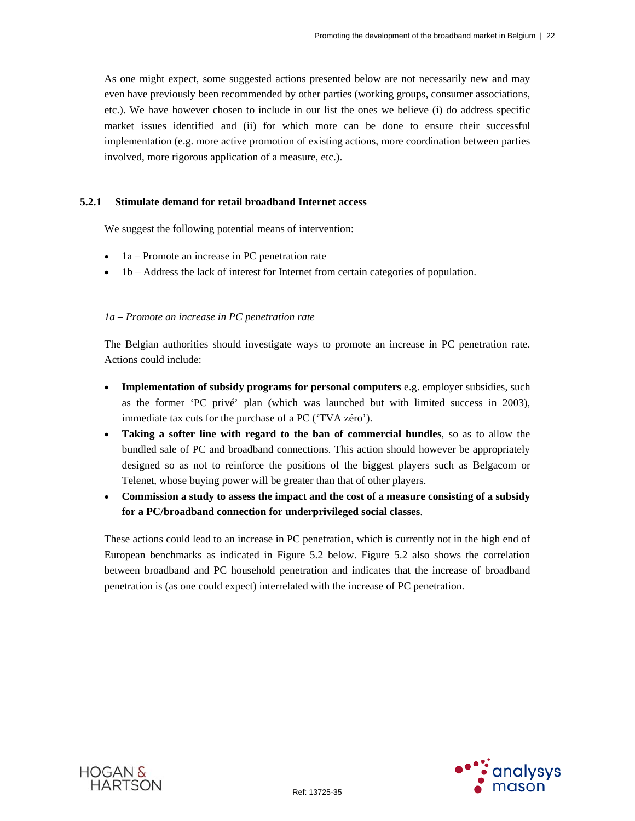As one might expect, some suggested actions presented below are not necessarily new and may even have previously been recommended by other parties (working groups, consumer associations, etc.). We have however chosen to include in our list the ones we believe (i) do address specific market issues identified and (ii) for which more can be done to ensure their successful implementation (e.g. more active promotion of existing actions, more coordination between parties involved, more rigorous application of a measure, etc.).

#### **5.2.1 Stimulate demand for retail broadband Internet access**

We suggest the following potential means of intervention:

- 1a Promote an increase in PC penetration rate
- 1b Address the lack of interest for Internet from certain categories of population.

#### *1a – Promote an increase in PC penetration rate*

The Belgian authorities should investigate ways to promote an increase in PC penetration rate. Actions could include:

- **Implementation of subsidy programs for personal computers** e.g. employer subsidies, such as the former 'PC privé' plan (which was launched but with limited success in 2003), immediate tax cuts for the purchase of a PC ('TVA zéro').
- **Taking a softer line with regard to the ban of commercial bundles**, so as to allow the bundled sale of PC and broadband connections. This action should however be appropriately designed so as not to reinforce the positions of the biggest players such as Belgacom or Telenet, whose buying power will be greater than that of other players.
- **Commission a study to assess the impact and the cost of a measure consisting of a subsidy for a PC/broadband connection for underprivileged social classes**.

These actions could lead to an increase in PC penetration, which is currently not in the high end of European benchmarks as indicated in Figure 5.2 below. Figure 5.2 also shows the correlation between broadband and PC household penetration and indicates that the increase of broadband penetration is (as one could expect) interrelated with the increase of PC penetration.



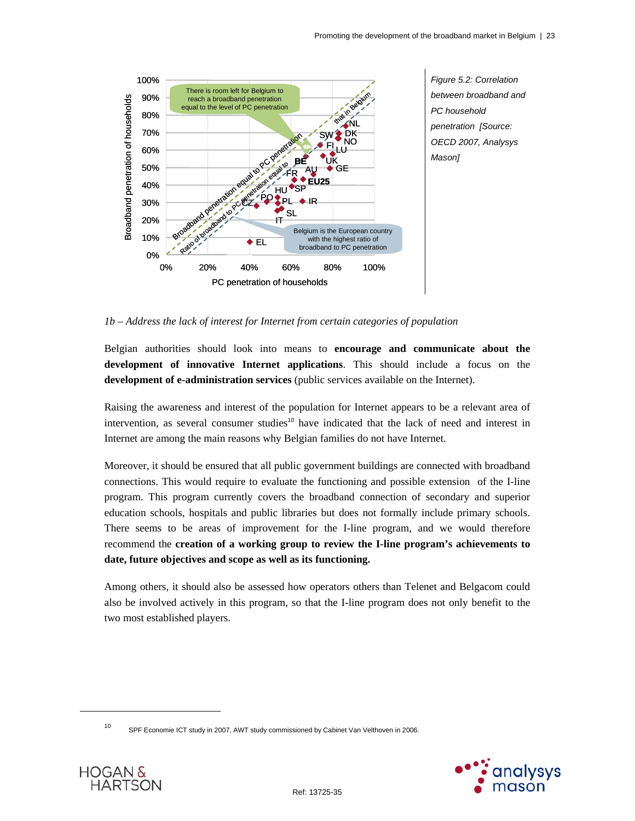

*1b – Address the lack of interest for Internet from certain categories of population* 

Belgian authorities should look into means to **encourage and communicate about the development of innovative Internet applications**. This should include a focus on the **development of e-administration services** (public services available on the Internet).

Raising the awareness and interest of the population for Internet appears to be a relevant area of intervention, as several consumer studies<sup>10</sup> have indicated that the lack of need and interest in Internet are among the main reasons why Belgian families do not have Internet.

Moreover, it should be ensured that all public government buildings are connected with broadband connections. This would require to evaluate the functioning and possible extension of the I-line program. This program currently covers the broadband connection of secondary and superior education schools, hospitals and public libraries but does not formally include primary schools. There seems to be areas of improvement for the I-line program, and we would therefore recommend the **creation of a working group to review the I-line program's achievements to date, future objectives and scope as well as its functioning.**

Among others, it should also be assessed how operators others than Telenet and Belgacom could also be involved actively in this program, so that the I-line program does not only benefit to the two most established players.

<sup>10</sup> SPF Economie ICT study in 2007, AWT study commissioned by Cabinet Van Velthoven in 2006.





 $\overline{a}$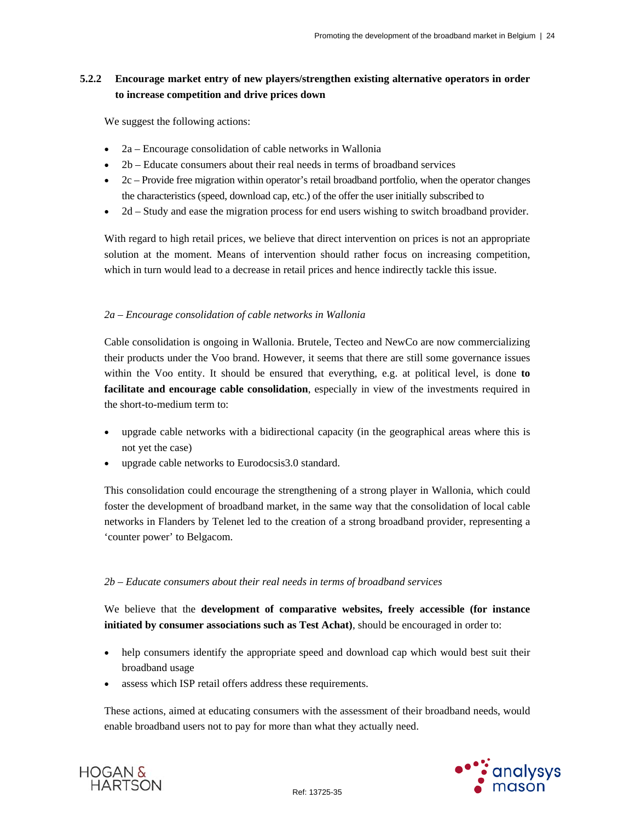## **5.2.2 Encourage market entry of new players/strengthen existing alternative operators in order to increase competition and drive prices down**

We suggest the following actions:

- 2a Encourage consolidation of cable networks in Wallonia
- 2b Educate consumers about their real needs in terms of broadband services
- $\bullet$  2c Provide free migration within operator's retail broadband portfolio, when the operator changes the characteristics (speed, download cap, etc.) of the offer the user initially subscribed to
- 2d Study and ease the migration process for end users wishing to switch broadband provider.

With regard to high retail prices, we believe that direct intervention on prices is not an appropriate solution at the moment. Means of intervention should rather focus on increasing competition, which in turn would lead to a decrease in retail prices and hence indirectly tackle this issue.

## *2a – Encourage consolidation of cable networks in Wallonia*

Cable consolidation is ongoing in Wallonia. Brutele, Tecteo and NewCo are now commercializing their products under the Voo brand. However, it seems that there are still some governance issues within the Voo entity. It should be ensured that everything, e.g. at political level, is done **to facilitate and encourage cable consolidation**, especially in view of the investments required in the short-to-medium term to:

- upgrade cable networks with a bidirectional capacity (in the geographical areas where this is not yet the case)
- upgrade cable networks to Eurodocsis3.0 standard.

This consolidation could encourage the strengthening of a strong player in Wallonia, which could foster the development of broadband market, in the same way that the consolidation of local cable networks in Flanders by Telenet led to the creation of a strong broadband provider, representing a 'counter power' to Belgacom.

## *2b – Educate consumers about their real needs in terms of broadband services*

We believe that the **development of comparative websites, freely accessible (for instance initiated by consumer associations such as Test Achat)**, should be encouraged in order to:

- help consumers identify the appropriate speed and download cap which would best suit their broadband usage
- assess which ISP retail offers address these requirements.

These actions, aimed at educating consumers with the assessment of their broadband needs, would enable broadband users not to pay for more than what they actually need.



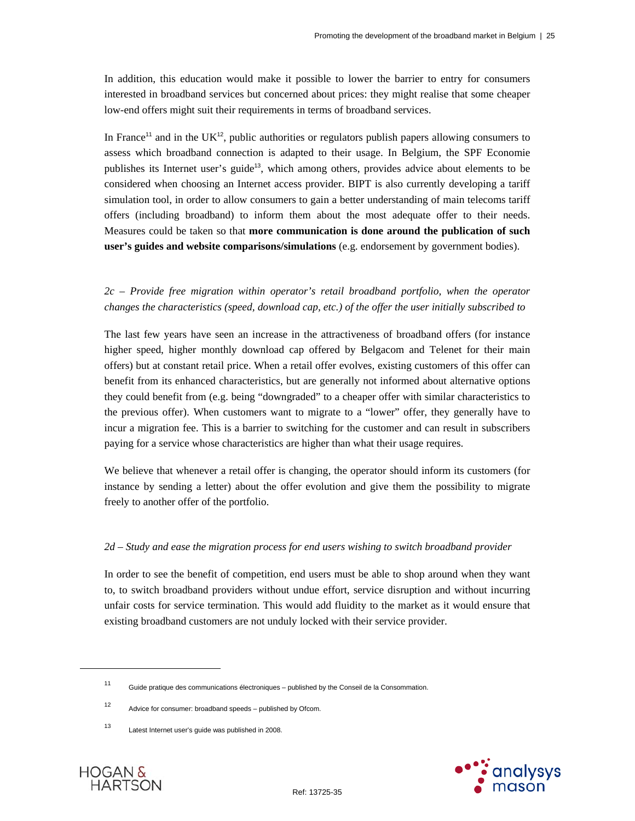In addition, this education would make it possible to lower the barrier to entry for consumers interested in broadband services but concerned about prices: they might realise that some cheaper low-end offers might suit their requirements in terms of broadband services.

In France<sup>11</sup> and in the UK<sup>12</sup>, public authorities or regulators publish papers allowing consumers to assess which broadband connection is adapted to their usage. In Belgium, the SPF Economie publishes its Internet user's guide<sup>13</sup>, which among others, provides advice about elements to be considered when choosing an Internet access provider. BIPT is also currently developing a tariff simulation tool, in order to allow consumers to gain a better understanding of main telecoms tariff offers (including broadband) to inform them about the most adequate offer to their needs. Measures could be taken so that **more communication is done around the publication of such user's guides and website comparisons/simulations** (e.g. endorsement by government bodies).

## *2c – Provide free migration within operator's retail broadband portfolio, when the operator changes the characteristics (speed, download cap, etc.) of the offer the user initially subscribed to*

The last few years have seen an increase in the attractiveness of broadband offers (for instance higher speed, higher monthly download cap offered by Belgacom and Telenet for their main offers) but at constant retail price. When a retail offer evolves, existing customers of this offer can benefit from its enhanced characteristics, but are generally not informed about alternative options they could benefit from (e.g. being "downgraded" to a cheaper offer with similar characteristics to the previous offer). When customers want to migrate to a "lower" offer, they generally have to incur a migration fee. This is a barrier to switching for the customer and can result in subscribers paying for a service whose characteristics are higher than what their usage requires.

We believe that whenever a retail offer is changing, the operator should inform its customers (for instance by sending a letter) about the offer evolution and give them the possibility to migrate freely to another offer of the portfolio.

#### *2d – Study and ease the migration process for end users wishing to switch broadband provider*

In order to see the benefit of competition, end users must be able to shop around when they want to, to switch broadband providers without undue effort, service disruption and without incurring unfair costs for service termination. This would add fluidity to the market as it would ensure that existing broadband customers are not unduly locked with their service provider.





 $\overline{a}$ 

<sup>11</sup> Guide pratique des communications électroniques – published by the Conseil de la Consommation.

<sup>12</sup> Advice for consumer: broadband speeds – published by Ofcom.

<sup>13</sup> Latest Internet user's guide was published in 2008.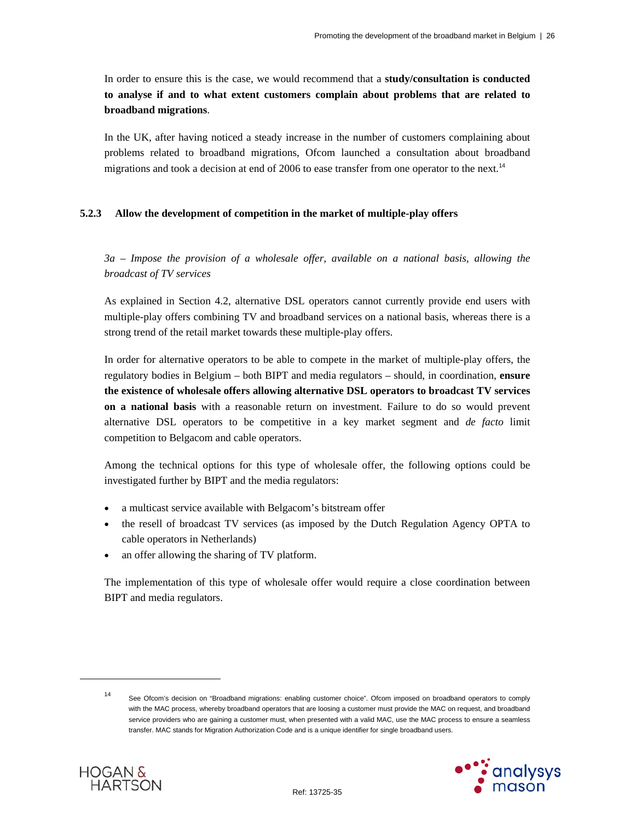In order to ensure this is the case, we would recommend that a **study/consultation is conducted to analyse if and to what extent customers complain about problems that are related to broadband migrations**.

In the UK, after having noticed a steady increase in the number of customers complaining about problems related to broadband migrations, Ofcom launched a consultation about broadband migrations and took a decision at end of 2006 to ease transfer from one operator to the next.<sup>14</sup>

#### **5.2.3 Allow the development of competition in the market of multiple-play offers**

*3a – Impose the provision of a wholesale offer, available on a national basis, allowing the broadcast of TV services* 

As explained in Section 4.2, alternative DSL operators cannot currently provide end users with multiple-play offers combining TV and broadband services on a national basis, whereas there is a strong trend of the retail market towards these multiple-play offers.

In order for alternative operators to be able to compete in the market of multiple-play offers, the regulatory bodies in Belgium – both BIPT and media regulators – should, in coordination, **ensure the existence of wholesale offers allowing alternative DSL operators to broadcast TV services on a national basis** with a reasonable return on investment. Failure to do so would prevent alternative DSL operators to be competitive in a key market segment and *de facto* limit competition to Belgacom and cable operators.

Among the technical options for this type of wholesale offer, the following options could be investigated further by BIPT and the media regulators:

- a multicast service available with Belgacom's bitstream offer
- the resell of broadcast TV services (as imposed by the Dutch Regulation Agency OPTA to cable operators in Netherlands)
- an offer allowing the sharing of TV platform.

The implementation of this type of wholesale offer would require a close coordination between BIPT and media regulators.

<sup>14</sup> See Ofcom's decision on "Broadband migrations: enabling customer choice". Ofcom imposed on broadband operators to comply with the MAC process, whereby broadband operators that are loosing a customer must provide the MAC on request, and broadband service providers who are gaining a customer must, when presented with a valid MAC, use the MAC process to ensure a seamless transfer. MAC stands for Migration Authorization Code and is a unique identifier for single broadband users.





l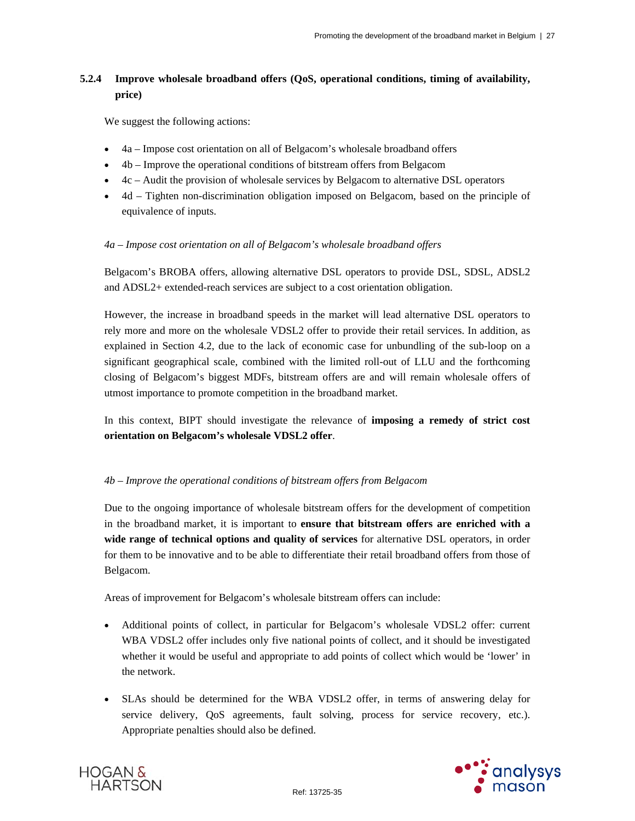## **5.2.4 Improve wholesale broadband offers (QoS, operational conditions, timing of availability, price)**

We suggest the following actions:

- 4a Impose cost orientation on all of Belgacom's wholesale broadband offers
- 4b Improve the operational conditions of bitstream offers from Belgacom
- $\bullet$  4c Audit the provision of wholesale services by Belgacom to alternative DSL operators
- 4d Tighten non-discrimination obligation imposed on Belgacom, based on the principle of equivalence of inputs.

## *4a – Impose cost orientation on all of Belgacom's wholesale broadband offers*

Belgacom's BROBA offers, allowing alternative DSL operators to provide DSL, SDSL, ADSL2 and ADSL2+ extended-reach services are subject to a cost orientation obligation.

However, the increase in broadband speeds in the market will lead alternative DSL operators to rely more and more on the wholesale VDSL2 offer to provide their retail services. In addition, as explained in Section 4.2, due to the lack of economic case for unbundling of the sub-loop on a significant geographical scale, combined with the limited roll-out of LLU and the forthcoming closing of Belgacom's biggest MDFs, bitstream offers are and will remain wholesale offers of utmost importance to promote competition in the broadband market.

In this context, BIPT should investigate the relevance of **imposing a remedy of strict cost orientation on Belgacom's wholesale VDSL2 offer**.

## *4b – Improve the operational conditions of bitstream offers from Belgacom*

Due to the ongoing importance of wholesale bitstream offers for the development of competition in the broadband market, it is important to **ensure that bitstream offers are enriched with a wide range of technical options and quality of services** for alternative DSL operators, in order for them to be innovative and to be able to differentiate their retail broadband offers from those of Belgacom.

Areas of improvement for Belgacom's wholesale bitstream offers can include:

- Additional points of collect, in particular for Belgacom's wholesale VDSL2 offer: current WBA VDSL2 offer includes only five national points of collect, and it should be investigated whether it would be useful and appropriate to add points of collect which would be 'lower' in the network.
- SLAs should be determined for the WBA VDSL2 offer, in terms of answering delay for service delivery, QoS agreements, fault solving, process for service recovery, etc.). Appropriate penalties should also be defined.



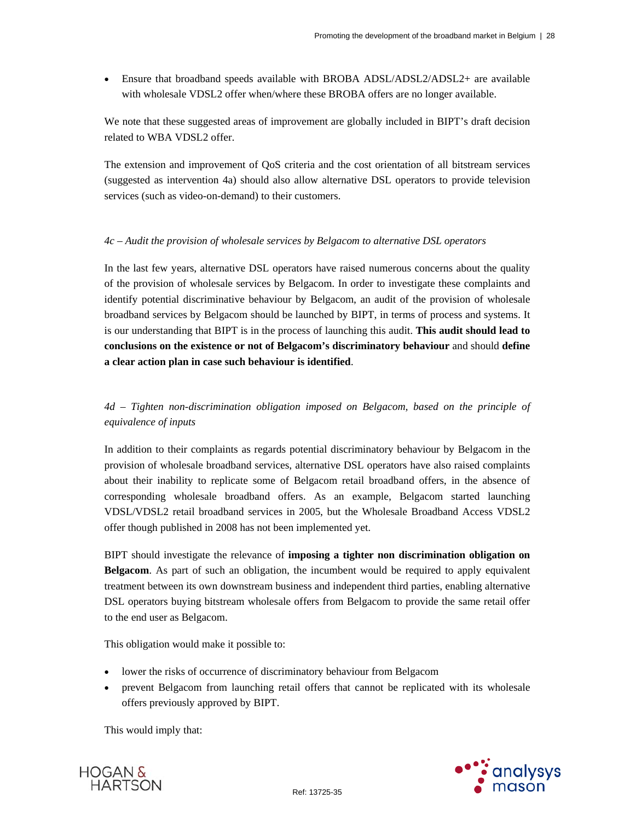Ensure that broadband speeds available with BROBA ADSL/ADSL2/ADSL2+ are available with wholesale VDSL2 offer when/where these BROBA offers are no longer available.

We note that these suggested areas of improvement are globally included in BIPT's draft decision related to WBA VDSL2 offer.

The extension and improvement of QoS criteria and the cost orientation of all bitstream services (suggested as intervention 4a) should also allow alternative DSL operators to provide television services (such as video-on-demand) to their customers.

## *4c – Audit the provision of wholesale services by Belgacom to alternative DSL operators*

In the last few years, alternative DSL operators have raised numerous concerns about the quality of the provision of wholesale services by Belgacom. In order to investigate these complaints and identify potential discriminative behaviour by Belgacom, an audit of the provision of wholesale broadband services by Belgacom should be launched by BIPT, in terms of process and systems. It is our understanding that BIPT is in the process of launching this audit. **This audit should lead to conclusions on the existence or not of Belgacom's discriminatory behaviour** and should **define a clear action plan in case such behaviour is identified**.

*4d – Tighten non-discrimination obligation imposed on Belgacom, based on the principle of equivalence of inputs* 

In addition to their complaints as regards potential discriminatory behaviour by Belgacom in the provision of wholesale broadband services, alternative DSL operators have also raised complaints about their inability to replicate some of Belgacom retail broadband offers, in the absence of corresponding wholesale broadband offers. As an example, Belgacom started launching VDSL/VDSL2 retail broadband services in 2005, but the Wholesale Broadband Access VDSL2 offer though published in 2008 has not been implemented yet.

BIPT should investigate the relevance of **imposing a tighter non discrimination obligation on Belgacom**. As part of such an obligation, the incumbent would be required to apply equivalent treatment between its own downstream business and independent third parties, enabling alternative DSL operators buying bitstream wholesale offers from Belgacom to provide the same retail offer to the end user as Belgacom.

This obligation would make it possible to:

- lower the risks of occurrence of discriminatory behaviour from Belgacom
- prevent Belgacom from launching retail offers that cannot be replicated with its wholesale offers previously approved by BIPT.

This would imply that:



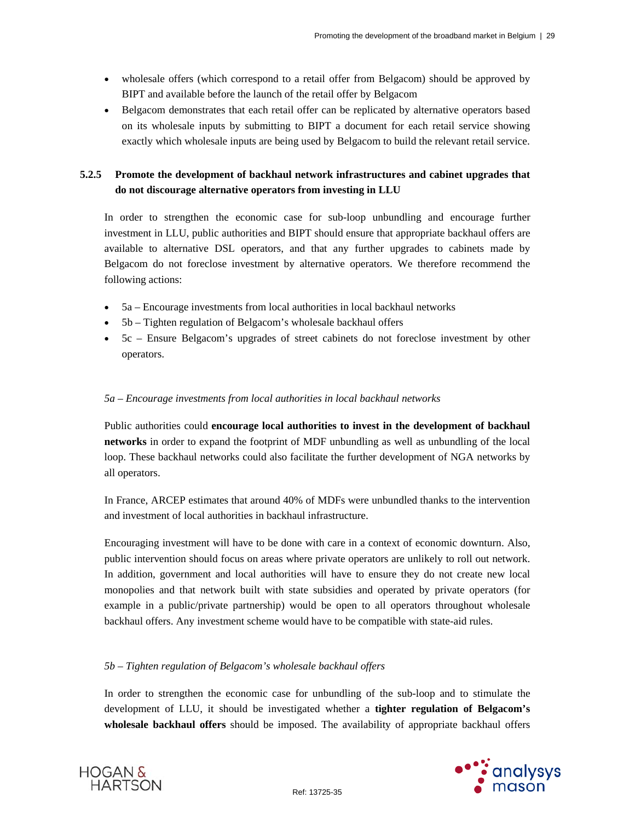- wholesale offers (which correspond to a retail offer from Belgacom) should be approved by BIPT and available before the launch of the retail offer by Belgacom
- Belgacom demonstrates that each retail offer can be replicated by alternative operators based on its wholesale inputs by submitting to BIPT a document for each retail service showing exactly which wholesale inputs are being used by Belgacom to build the relevant retail service.

## **5.2.5 Promote the development of backhaul network infrastructures and cabinet upgrades that do not discourage alternative operators from investing in LLU**

In order to strengthen the economic case for sub-loop unbundling and encourage further investment in LLU, public authorities and BIPT should ensure that appropriate backhaul offers are available to alternative DSL operators, and that any further upgrades to cabinets made by Belgacom do not foreclose investment by alternative operators. We therefore recommend the following actions:

- 5a Encourage investments from local authorities in local backhaul networks
- 5b Tighten regulation of Belgacom's wholesale backhaul offers
- 5c Ensure Belgacom's upgrades of street cabinets do not foreclose investment by other operators.

#### *5a – Encourage investments from local authorities in local backhaul networks*

Public authorities could **encourage local authorities to invest in the development of backhaul networks** in order to expand the footprint of MDF unbundling as well as unbundling of the local loop. These backhaul networks could also facilitate the further development of NGA networks by all operators.

In France, ARCEP estimates that around 40% of MDFs were unbundled thanks to the intervention and investment of local authorities in backhaul infrastructure.

Encouraging investment will have to be done with care in a context of economic downturn. Also, public intervention should focus on areas where private operators are unlikely to roll out network. In addition, government and local authorities will have to ensure they do not create new local monopolies and that network built with state subsidies and operated by private operators (for example in a public/private partnership) would be open to all operators throughout wholesale backhaul offers. Any investment scheme would have to be compatible with state-aid rules.

## *5b – Tighten regulation of Belgacom's wholesale backhaul offers*

In order to strengthen the economic case for unbundling of the sub-loop and to stimulate the development of LLU, it should be investigated whether a **tighter regulation of Belgacom's wholesale backhaul offers** should be imposed. The availability of appropriate backhaul offers



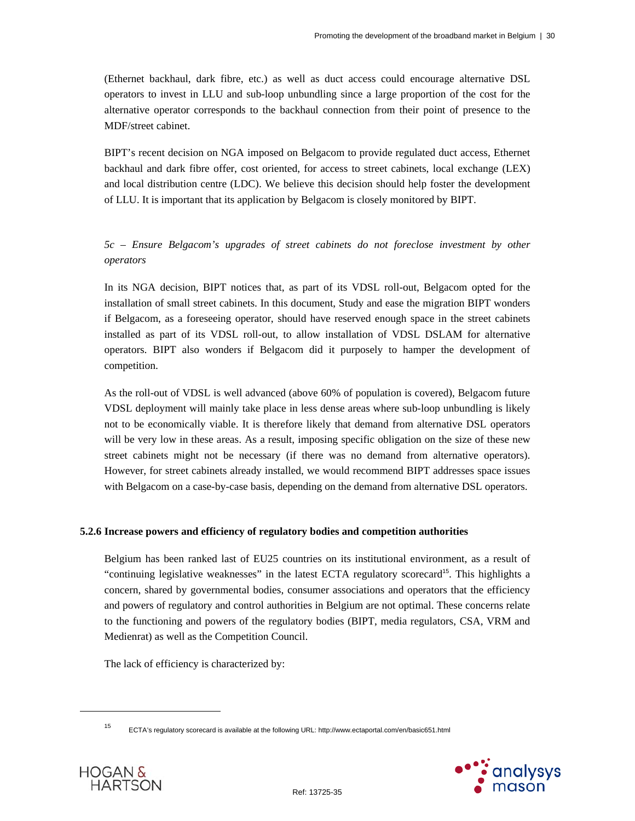(Ethernet backhaul, dark fibre, etc.) as well as duct access could encourage alternative DSL operators to invest in LLU and sub-loop unbundling since a large proportion of the cost for the alternative operator corresponds to the backhaul connection from their point of presence to the MDF/street cabinet.

BIPT's recent decision on NGA imposed on Belgacom to provide regulated duct access, Ethernet backhaul and dark fibre offer, cost oriented, for access to street cabinets, local exchange (LEX) and local distribution centre (LDC). We believe this decision should help foster the development of LLU. It is important that its application by Belgacom is closely monitored by BIPT.

## *5c – Ensure Belgacom's upgrades of street cabinets do not foreclose investment by other operators*

In its NGA decision, BIPT notices that, as part of its VDSL roll-out, Belgacom opted for the installation of small street cabinets. In this document, Study and ease the migration BIPT wonders if Belgacom, as a foreseeing operator, should have reserved enough space in the street cabinets installed as part of its VDSL roll-out, to allow installation of VDSL DSLAM for alternative operators. BIPT also wonders if Belgacom did it purposely to hamper the development of competition.

As the roll-out of VDSL is well advanced (above 60% of population is covered), Belgacom future VDSL deployment will mainly take place in less dense areas where sub-loop unbundling is likely not to be economically viable. It is therefore likely that demand from alternative DSL operators will be very low in these areas. As a result, imposing specific obligation on the size of these new street cabinets might not be necessary (if there was no demand from alternative operators). However, for street cabinets already installed, we would recommend BIPT addresses space issues with Belgacom on a case-by-case basis, depending on the demand from alternative DSL operators.

## **5.2.6 Increase powers and efficiency of regulatory bodies and competition authorities**

Belgium has been ranked last of EU25 countries on its institutional environment, as a result of "continuing legislative weaknesses" in the latest ECTA regulatory scorecard<sup>15</sup>. This highlights a concern, shared by governmental bodies, consumer associations and operators that the efficiency and powers of regulatory and control authorities in Belgium are not optimal. These concerns relate to the functioning and powers of the regulatory bodies (BIPT, media regulators, CSA, VRM and Medienrat) as well as the Competition Council.

The lack of efficiency is characterized by:

<sup>15</sup> ECTA's regulatory scorecard is available at the following URL: http://www.ectaportal.com/en/basic651.html



 $\overline{a}$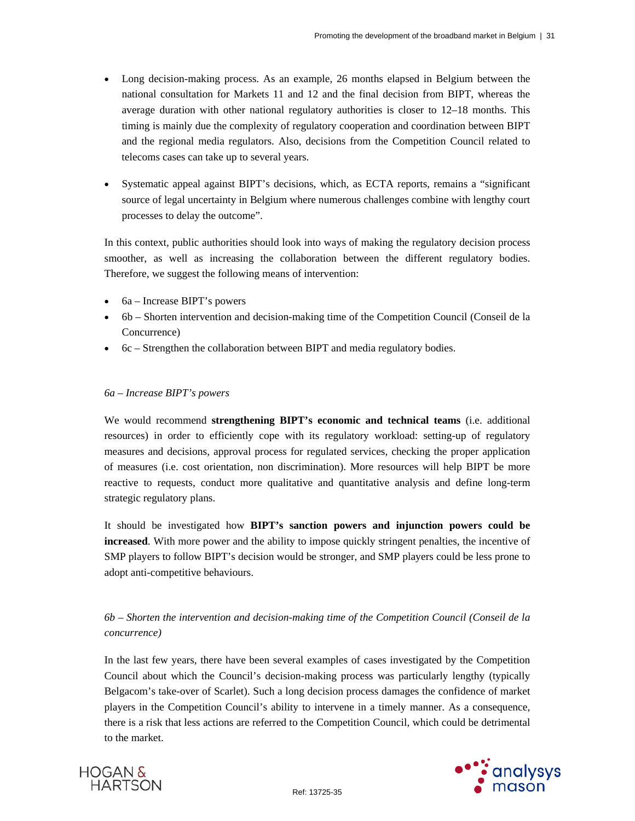- Long decision-making process. As an example, 26 months elapsed in Belgium between the national consultation for Markets 11 and 12 and the final decision from BIPT, whereas the average duration with other national regulatory authorities is closer to 12–18 months. This timing is mainly due the complexity of regulatory cooperation and coordination between BIPT and the regional media regulators. Also, decisions from the Competition Council related to telecoms cases can take up to several years.
- Systematic appeal against BIPT's decisions, which, as ECTA reports, remains a "significant source of legal uncertainty in Belgium where numerous challenges combine with lengthy court processes to delay the outcome".

In this context, public authorities should look into ways of making the regulatory decision process smoother, as well as increasing the collaboration between the different regulatory bodies. Therefore, we suggest the following means of intervention:

- 6a Increase BIPT's powers
- 6b Shorten intervention and decision-making time of the Competition Council (Conseil de la Concurrence)
- 6c Strengthen the collaboration between BIPT and media regulatory bodies.

#### *6a – Increase BIPT's powers*

We would recommend **strengthening BIPT's economic and technical teams** (i.e. additional resources) in order to efficiently cope with its regulatory workload: setting-up of regulatory measures and decisions, approval process for regulated services, checking the proper application of measures (i.e. cost orientation, non discrimination). More resources will help BIPT be more reactive to requests, conduct more qualitative and quantitative analysis and define long-term strategic regulatory plans.

It should be investigated how **BIPT's sanction powers and injunction powers could be increased**. With more power and the ability to impose quickly stringent penalties, the incentive of SMP players to follow BIPT's decision would be stronger, and SMP players could be less prone to adopt anti-competitive behaviours.

## *6b – Shorten the intervention and decision-making time of the Competition Council (Conseil de la concurrence)*

In the last few years, there have been several examples of cases investigated by the Competition Council about which the Council's decision-making process was particularly lengthy (typically Belgacom's take-over of Scarlet). Such a long decision process damages the confidence of market players in the Competition Council's ability to intervene in a timely manner. As a consequence, there is a risk that less actions are referred to the Competition Council, which could be detrimental to the market.



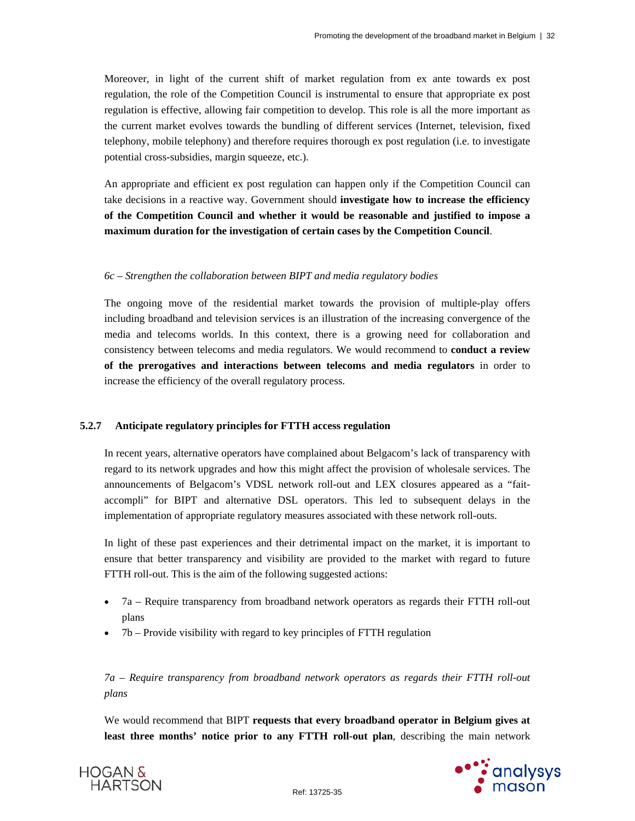Moreover, in light of the current shift of market regulation from ex ante towards ex post regulation, the role of the Competition Council is instrumental to ensure that appropriate ex post regulation is effective, allowing fair competition to develop. This role is all the more important as the current market evolves towards the bundling of different services (Internet, television, fixed telephony, mobile telephony) and therefore requires thorough ex post regulation (i.e. to investigate potential cross-subsidies, margin squeeze, etc.).

An appropriate and efficient ex post regulation can happen only if the Competition Council can take decisions in a reactive way. Government should **investigate how to increase the efficiency of the Competition Council and whether it would be reasonable and justified to impose a maximum duration for the investigation of certain cases by the Competition Council**.

#### *6c – Strengthen the collaboration between BIPT and media regulatory bodies*

The ongoing move of the residential market towards the provision of multiple-play offers including broadband and television services is an illustration of the increasing convergence of the media and telecoms worlds. In this context, there is a growing need for collaboration and consistency between telecoms and media regulators. We would recommend to **conduct a review of the prerogatives and interactions between telecoms and media regulators** in order to increase the efficiency of the overall regulatory process.

## **5.2.7 Anticipate regulatory principles for FTTH access regulation**

In recent years, alternative operators have complained about Belgacom's lack of transparency with regard to its network upgrades and how this might affect the provision of wholesale services. The announcements of Belgacom's VDSL network roll-out and LEX closures appeared as a "faitaccompli" for BIPT and alternative DSL operators. This led to subsequent delays in the implementation of appropriate regulatory measures associated with these network roll-outs.

In light of these past experiences and their detrimental impact on the market, it is important to ensure that better transparency and visibility are provided to the market with regard to future FTTH roll-out. This is the aim of the following suggested actions:

- 7a Require transparency from broadband network operators as regards their FTTH roll-out plans
- $\bullet$  7b Provide visibility with regard to key principles of FTTH regulation

*7a – Require transparency from broadband network operators as regards their FTTH roll-out plans* 

We would recommend that BIPT **requests that every broadband operator in Belgium gives at least three months' notice prior to any FTTH roll-out plan**, describing the main network



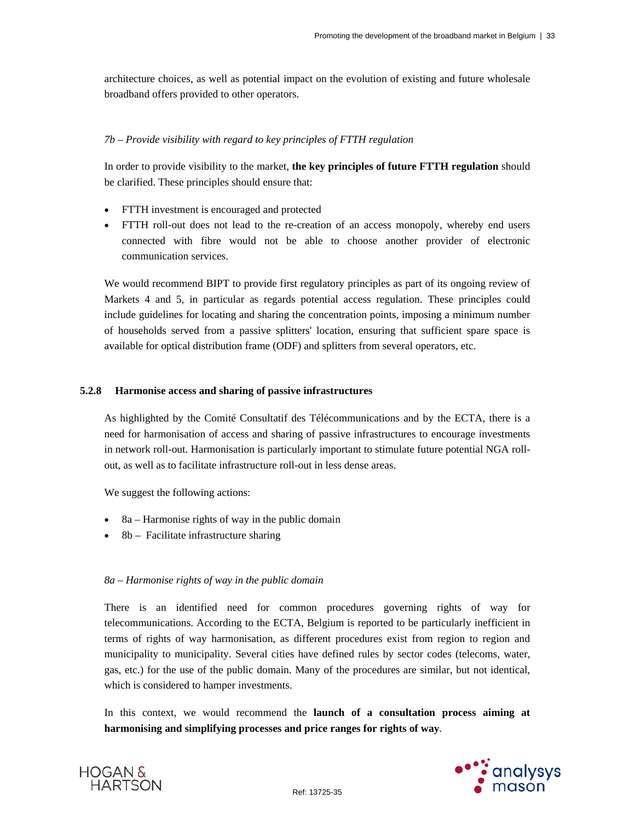architecture choices, as well as potential impact on the evolution of existing and future wholesale broadband offers provided to other operators.

#### *7b – Provide visibility with regard to key principles of FTTH regulation*

In order to provide visibility to the market, **the key principles of future FTTH regulation** should be clarified. These principles should ensure that:

- FTTH investment is encouraged and protected
- FTTH roll-out does not lead to the re-creation of an access monopoly, whereby end users connected with fibre would not be able to choose another provider of electronic communication services.

We would recommend BIPT to provide first regulatory principles as part of its ongoing review of Markets 4 and 5, in particular as regards potential access regulation. These principles could include guidelines for locating and sharing the concentration points, imposing a minimum number of households served from a passive splitters' location, ensuring that sufficient spare space is available for optical distribution frame (ODF) and splitters from several operators, etc.

#### **5.2.8 Harmonise access and sharing of passive infrastructures**

As highlighted by the Comité Consultatif des Télécommunications and by the ECTA, there is a need for harmonisation of access and sharing of passive infrastructures to encourage investments in network roll-out. Harmonisation is particularly important to stimulate future potential NGA rollout, as well as to facilitate infrastructure roll-out in less dense areas.

We suggest the following actions:

- $\bullet$  8a Harmonise rights of way in the public domain
- $\bullet$  8b Facilitate infrastructure sharing

#### *8a – Harmonise rights of way in the public domain*

There is an identified need for common procedures governing rights of way for telecommunications. According to the ECTA, Belgium is reported to be particularly inefficient in terms of rights of way harmonisation, as different procedures exist from region to region and municipality to municipality. Several cities have defined rules by sector codes (telecoms, water, gas, etc.) for the use of the public domain. Many of the procedures are similar, but not identical, which is considered to hamper investments.

In this context, we would recommend the **launch of a consultation process aiming at harmonising and simplifying processes and price ranges for rights of way**.



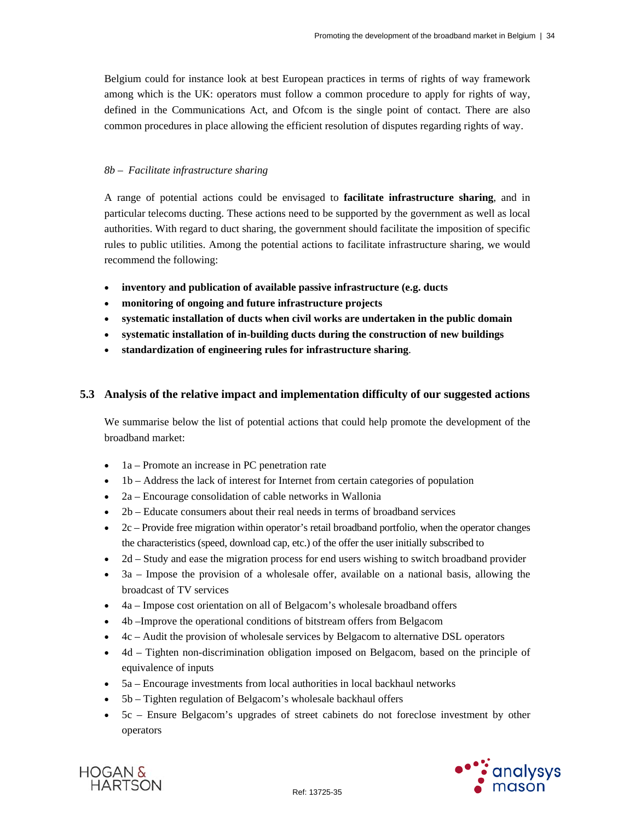Belgium could for instance look at best European practices in terms of rights of way framework among which is the UK: operators must follow a common procedure to apply for rights of way, defined in the Communications Act, and Ofcom is the single point of contact. There are also common procedures in place allowing the efficient resolution of disputes regarding rights of way.

#### *8b – Facilitate infrastructure sharing*

A range of potential actions could be envisaged to **facilitate infrastructure sharing**, and in particular telecoms ducting. These actions need to be supported by the government as well as local authorities. With regard to duct sharing, the government should facilitate the imposition of specific rules to public utilities. Among the potential actions to facilitate infrastructure sharing, we would recommend the following:

- **inventory and publication of available passive infrastructure (e.g. ducts**
- **monitoring of ongoing and future infrastructure projects**
- **systematic installation of ducts when civil works are undertaken in the public domain**
- **systematic installation of in-building ducts during the construction of new buildings**
- **standardization of engineering rules for infrastructure sharing**.

## **5.3 Analysis of the relative impact and implementation difficulty of our suggested actions**

We summarise below the list of potential actions that could help promote the development of the broadband market:

- 1a Promote an increase in PC penetration rate
- 1b Address the lack of interest for Internet from certain categories of population
- 2a Encourage consolidation of cable networks in Wallonia
- 2b Educate consumers about their real needs in terms of broadband services
- 2c Provide free migration within operator's retail broadband portfolio, when the operator changes the characteristics (speed, download cap, etc.) of the offer the user initially subscribed to
- 2d Study and ease the migration process for end users wishing to switch broadband provider
- $\bullet$  3a Impose the provision of a wholesale offer, available on a national basis, allowing the broadcast of TV services
- 4a Impose cost orientation on all of Belgacom's wholesale broadband offers
- 4b –Improve the operational conditions of bitstream offers from Belgacom
- 4c Audit the provision of wholesale services by Belgacom to alternative DSL operators
- 4d Tighten non-discrimination obligation imposed on Belgacom, based on the principle of equivalence of inputs
- 5a Encourage investments from local authorities in local backhaul networks
- 5b Tighten regulation of Belgacom's wholesale backhaul offers
- 5c Ensure Belgacom's upgrades of street cabinets do not foreclose investment by other operators



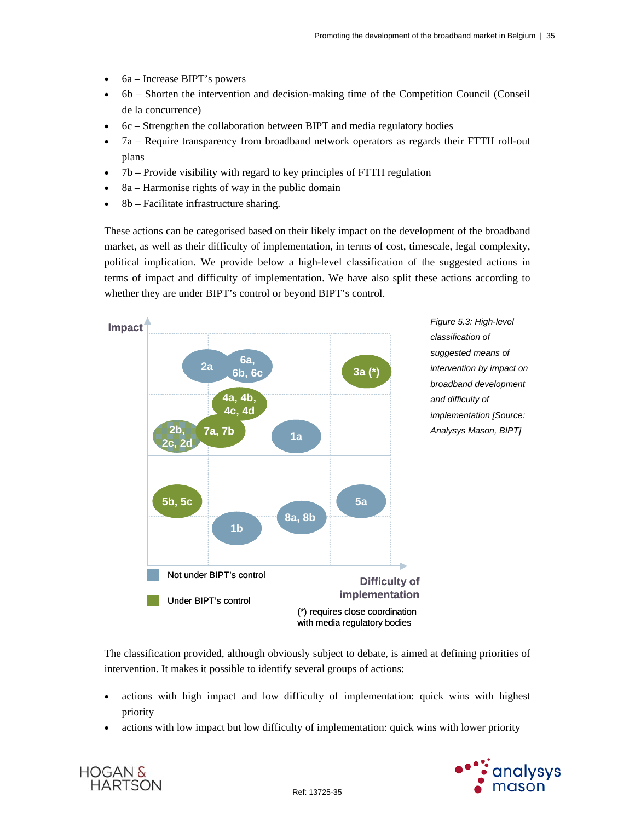- 6a Increase BIPT's powers
- 6b Shorten the intervention and decision-making time of the Competition Council (Conseil de la concurrence)
- 6c Strengthen the collaboration between BIPT and media regulatory bodies
- 7a Require transparency from broadband network operators as regards their FTTH roll-out plans
- 7b Provide visibility with regard to key principles of FTTH regulation
- 8a Harmonise rights of way in the public domain
- 8b Facilitate infrastructure sharing.

These actions can be categorised based on their likely impact on the development of the broadband market, as well as their difficulty of implementation, in terms of cost, timescale, legal complexity, political implication. We provide below a high-level classification of the suggested actions in terms of impact and difficulty of implementation. We have also split these actions according to whether they are under BIPT's control or beyond BIPT's control.



The classification provided, although obviously subject to debate, is aimed at defining priorities of intervention. It makes it possible to identify several groups of actions:

- actions with high impact and low difficulty of implementation: quick wins with highest priority
- actions with low impact but low difficulty of implementation: quick wins with lower priority



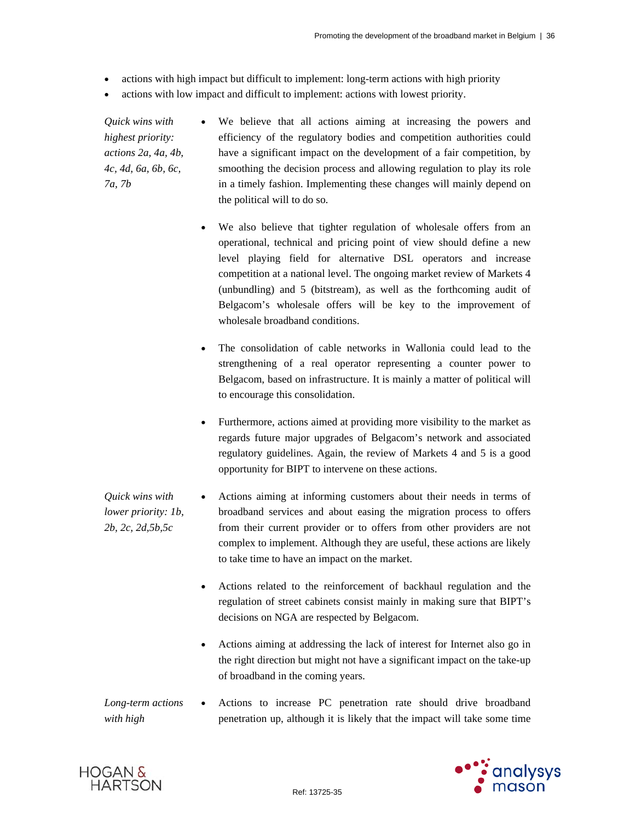- actions with high impact but difficult to implement: long-term actions with high priority
- actions with low impact and difficult to implement: actions with lowest priority.

*Quick wins with highest priority: actions 2a, 4a, 4b, 4c, 4d, 6a, 6b, 6c, 7a, 7b* 

 We believe that all actions aiming at increasing the powers and efficiency of the regulatory bodies and competition authorities could have a significant impact on the development of a fair competition, by smoothing the decision process and allowing regulation to play its role in a timely fashion. Implementing these changes will mainly depend on the political will to do so.

- We also believe that tighter regulation of wholesale offers from an operational, technical and pricing point of view should define a new level playing field for alternative DSL operators and increase competition at a national level. The ongoing market review of Markets 4 (unbundling) and 5 (bitstream), as well as the forthcoming audit of Belgacom's wholesale offers will be key to the improvement of wholesale broadband conditions.
- The consolidation of cable networks in Wallonia could lead to the strengthening of a real operator representing a counter power to Belgacom, based on infrastructure. It is mainly a matter of political will to encourage this consolidation.
- Furthermore, actions aimed at providing more visibility to the market as regards future major upgrades of Belgacom's network and associated regulatory guidelines. Again, the review of Markets 4 and 5 is a good opportunity for BIPT to intervene on these actions.

*Quick wins with lower priority: 1b, 2b, 2c, 2d,5b,5c*  Actions aiming at informing customers about their needs in terms of broadband services and about easing the migration process to offers from their current provider or to offers from other providers are not complex to implement. Although they are useful, these actions are likely to take time to have an impact on the market.

- Actions related to the reinforcement of backhaul regulation and the regulation of street cabinets consist mainly in making sure that BIPT's decisions on NGA are respected by Belgacom.
- Actions aiming at addressing the lack of interest for Internet also go in the right direction but might not have a significant impact on the take-up of broadband in the coming years.
- *Long-term actions with high*  Actions to increase PC penetration rate should drive broadband penetration up, although it is likely that the impact will take some time